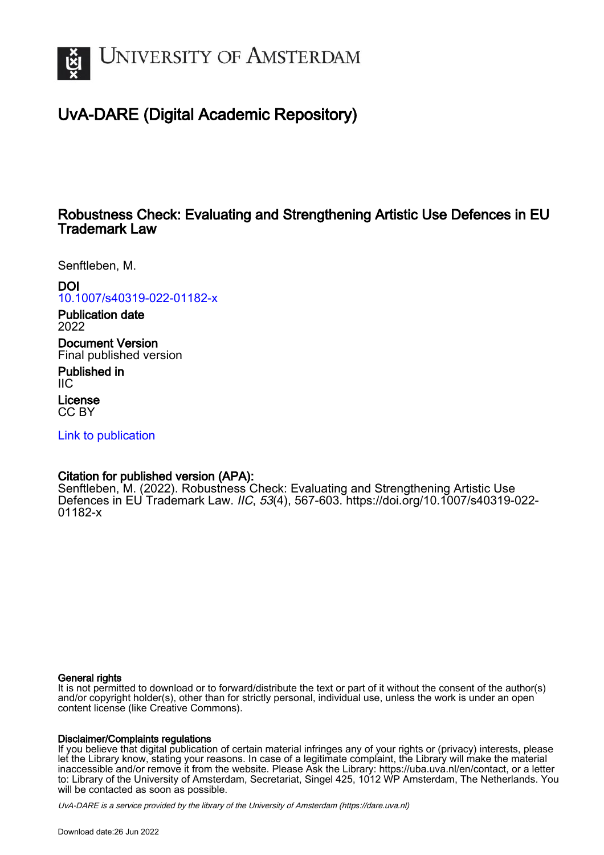

# UvA-DARE (Digital Academic Repository)

## Robustness Check: Evaluating and Strengthening Artistic Use Defences in EU Trademark Law

Senftleben, M.

DOI [10.1007/s40319-022-01182-x](https://doi.org/10.1007/s40319-022-01182-x)

Publication date 2022

Document Version Final published version

Published in IIC

License CC BY

[Link to publication](https://dare.uva.nl/personal/pure/en/publications/robustness-check-evaluating-and-strengthening-artistic-use-defences-in-eu-trademark-law(2a06b165-7aa1-482c-ba35-20dd8d4d3460).html)

## Citation for published version (APA):

Senftleben, M. (2022). Robustness Check: Evaluating and Strengthening Artistic Use Defences in EU Trademark Law. IIC, 53(4), 567-603. [https://doi.org/10.1007/s40319-022-](https://doi.org/10.1007/s40319-022-01182-x) [01182-x](https://doi.org/10.1007/s40319-022-01182-x)

#### General rights

It is not permitted to download or to forward/distribute the text or part of it without the consent of the author(s) and/or copyright holder(s), other than for strictly personal, individual use, unless the work is under an open content license (like Creative Commons).

### Disclaimer/Complaints regulations

If you believe that digital publication of certain material infringes any of your rights or (privacy) interests, please let the Library know, stating your reasons. In case of a legitimate complaint, the Library will make the material inaccessible and/or remove it from the website. Please Ask the Library: https://uba.uva.nl/en/contact, or a letter to: Library of the University of Amsterdam, Secretariat, Singel 425, 1012 WP Amsterdam, The Netherlands. You will be contacted as soon as possible.

UvA-DARE is a service provided by the library of the University of Amsterdam (http*s*://dare.uva.nl)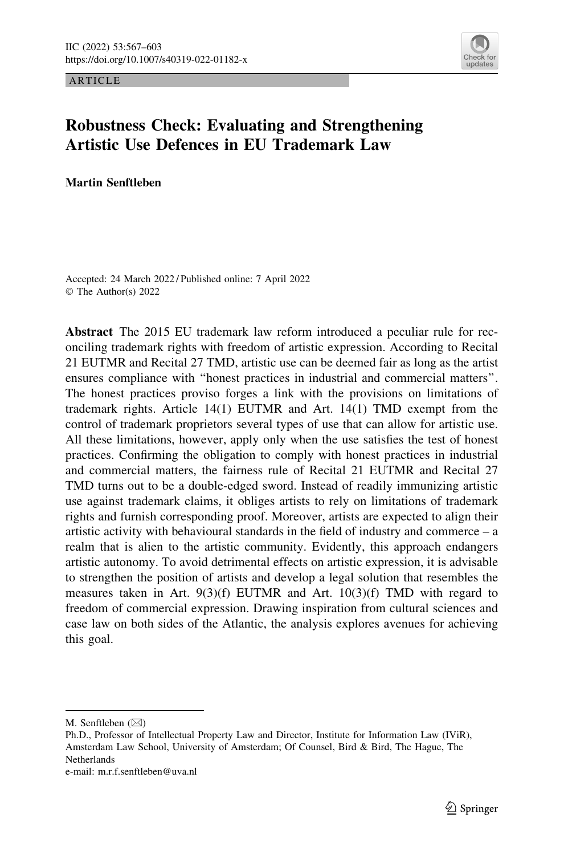ARTICLE



## Robustness Check: Evaluating and Strengthening Artistic Use Defences in EU Trademark Law

Martin Senftleben

Accepted: 24 March 2022 / Published online: 7 April 2022 © The Author(s) 2022

Abstract The 2015 EU trademark law reform introduced a peculiar rule for reconciling trademark rights with freedom of artistic expression. According to Recital 21 EUTMR and Recital 27 TMD, artistic use can be deemed fair as long as the artist ensures compliance with ''honest practices in industrial and commercial matters''. The honest practices proviso forges a link with the provisions on limitations of trademark rights. Article 14(1) EUTMR and Art. 14(1) TMD exempt from the control of trademark proprietors several types of use that can allow for artistic use. All these limitations, however, apply only when the use satisfies the test of honest practices. Confirming the obligation to comply with honest practices in industrial and commercial matters, the fairness rule of Recital 21 EUTMR and Recital 27 TMD turns out to be a double-edged sword. Instead of readily immunizing artistic use against trademark claims, it obliges artists to rely on limitations of trademark rights and furnish corresponding proof. Moreover, artists are expected to align their artistic activity with behavioural standards in the field of industry and commerce – a realm that is alien to the artistic community. Evidently, this approach endangers artistic autonomy. To avoid detrimental effects on artistic expression, it is advisable to strengthen the position of artists and develop a legal solution that resembles the measures taken in Art. 9(3)(f) EUTMR and Art. 10(3)(f) TMD with regard to freedom of commercial expression. Drawing inspiration from cultural sciences and case law on both sides of the Atlantic, the analysis explores avenues for achieving this goal.

M. Senftleben  $(\boxtimes)$ 

Ph.D., Professor of Intellectual Property Law and Director, Institute for Information Law (IViR), Amsterdam Law School, University of Amsterdam; Of Counsel, Bird & Bird, The Hague, The Netherlands

e-mail: m.r.f.senftleben@uva.nl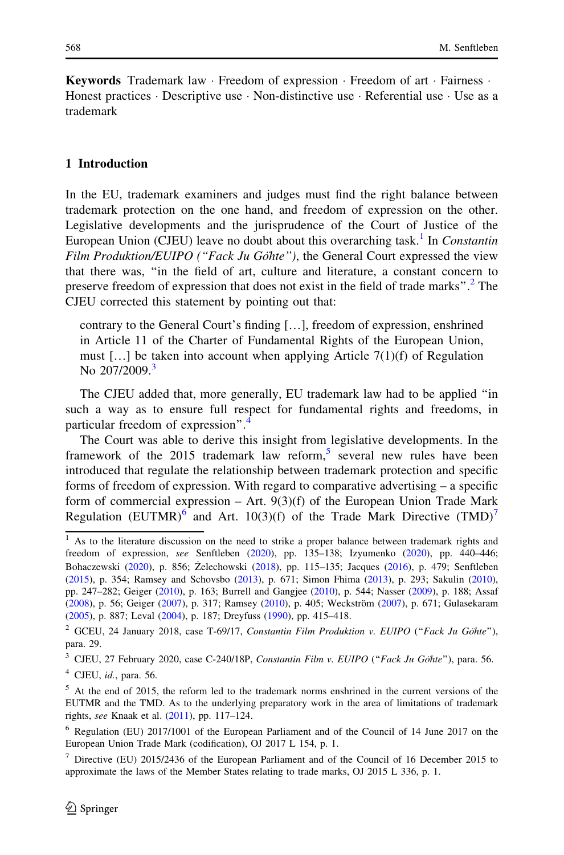Keywords Trademark law · Freedom of expression · Freedom of art · Fairness · Honest practices  $\cdot$  Descriptive use  $\cdot$  Non-distinctive use  $\cdot$  Referential use  $\cdot$  Use as a trademark

#### 1 Introduction

In the EU, trademark examiners and judges must find the right balance between trademark protection on the one hand, and freedom of expression on the other. Legislative developments and the jurisprudence of the Court of Justice of the European Union (CJEU) leave no doubt about this overarching task.<sup>1</sup> In *Constantin* Film Produktion/EUIPO ("Fack Ju Göhte"), the General Court expressed the view that there was, ''in the field of art, culture and literature, a constant concern to preserve freedom of expression that does not exist in the field of trade marks".<sup>2</sup> The CJEU corrected this statement by pointing out that:

contrary to the General Court's finding […], freedom of expression, enshrined in Article 11 of the Charter of Fundamental Rights of the European Union, must […] be taken into account when applying Article 7(1)(f) of Regulation No 207/2009.<sup>3</sup>

The CJEU added that, more generally, EU trademark law had to be applied ''in such a way as to ensure full respect for fundamental rights and freedoms, in particular freedom of expression''.<sup>4</sup>

The Court was able to derive this insight from legislative developments. In the framework of the 2015 trademark law reform,<sup>5</sup> several new rules have been introduced that regulate the relationship between trademark protection and specific forms of freedom of expression. With regard to comparative advertising – a specific form of commercial expression  $-$  Art. 9(3)(f) of the European Union Trade Mark Regulation (EUTMR)<sup>6</sup> and Art. 10(3)(f) of the Trade Mark Directive (TMD)<sup>7</sup>

 $<sup>4</sup>$  CJEU, *id.*, para. 56.</sup>

 $<sup>1</sup>$  As to the literature discussion on the need to strike a proper balance between trademark rights and</sup> freedom of expression, see Senftleben [\(2020](#page-37-0)), pp. 135–138; Izyumenko ([2020\)](#page-36-0), pp. 440–446; Bohaczewski ([2020\)](#page-34-0), p. 856; Zelechowski ([2018](#page-37-0)), pp. 115–135; Jacques [\(2016](#page-36-0)), p. 479; Senftleben ([2015\)](#page-37-0), p. 354; Ramsey and Schovsbo [\(2013](#page-37-0)), p. 671; Simon Fhima ([2013\)](#page-37-0), p. 293; Sakulin ([2010\)](#page-37-0), pp. 247–282; Geiger ([2010\)](#page-35-0), p. 163; Burrell and Gangjee ([2010\)](#page-34-0), p. 544; Nasser [\(2009](#page-36-0)), p. 188; Assaf ([2008\)](#page-34-0), p. 56; Geiger ([2007\)](#page-35-0), p. 317; Ramsey [\(2010\)](#page-37-0), p. 405; Weckström [\(2007](#page-37-0)), p. 671; Gulasekaram ([2005\)](#page-36-0), p. 887; Leval ([2004\)](#page-36-0), p. 187; Dreyfuss [\(1990](#page-35-0)), pp. 415–418.

 $2$  GCEU, 24 January 2018, case T-69/17, Constantin Film Produktion v. EUIPO ("Fack Ju Göhte"), para. 29.

 $3$  CJEU, 27 February 2020, case C-240/18P, Constantin Film v. EUIPO ("Fack Ju Göhte"), para. 56.

 $<sup>5</sup>$  At the end of 2015, the reform led to the trademark norms enshrined in the current versions of the</sup> EUTMR and the TMD. As to the underlying preparatory work in the area of limitations of trademark rights, see Knaak et al. ([2011\)](#page-36-0), pp. 117–124.

<sup>6</sup> Regulation (EU) 2017/1001 of the European Parliament and of the Council of 14 June 2017 on the European Union Trade Mark (codification), OJ 2017 L 154, p. 1.

<sup>7</sup> Directive (EU) 2015/2436 of the European Parliament and of the Council of 16 December 2015 to approximate the laws of the Member States relating to trade marks, OJ 2015 L 336, p. 1.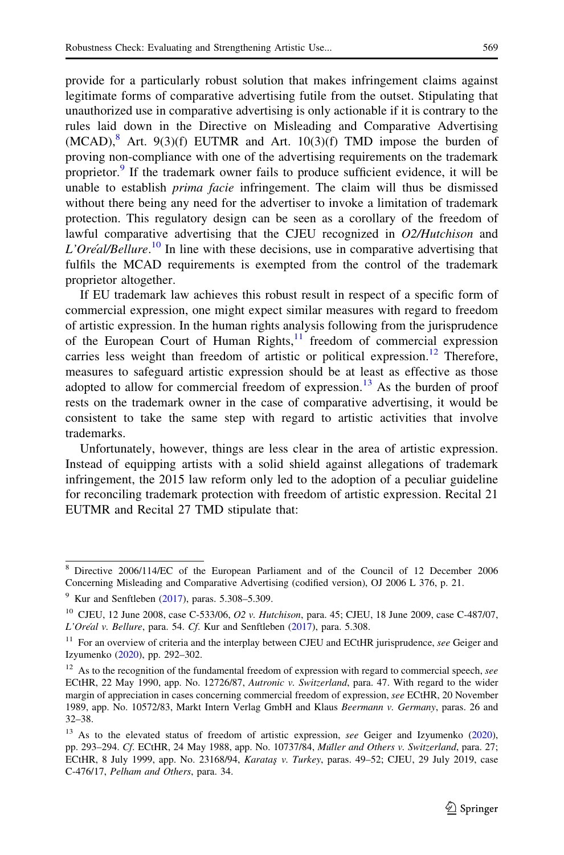provide for a particularly robust solution that makes infringement claims against legitimate forms of comparative advertising futile from the outset. Stipulating that unauthorized use in comparative advertising is only actionable if it is contrary to the rules laid down in the Directive on Misleading and Comparative Advertising  $(MCAD)$ , Art. 9(3)(f) EUTMR and Art. 10(3)(f) TMD impose the burden of proving non-compliance with one of the advertising requirements on the trademark proprietor.<sup>9</sup> If the trademark owner fails to produce sufficient evidence, it will be unable to establish *prima facie* infringement. The claim will thus be dismissed without there being any need for the advertiser to invoke a limitation of trademark protection. This regulatory design can be seen as a corollary of the freedom of lawful comparative advertising that the CJEU recognized in O2/Hutchison and L'Oréal/Bellure.<sup>10</sup> In line with these decisions, use in comparative advertising that fulfils the MCAD requirements is exempted from the control of the trademark proprietor altogether.

If EU trademark law achieves this robust result in respect of a specific form of commercial expression, one might expect similar measures with regard to freedom of artistic expression. In the human rights analysis following from the jurisprudence of the European Court of Human Rights,  $\frac{11}{11}$  freedom of commercial expression carries less weight than freedom of artistic or political expression.<sup>12</sup> Therefore, measures to safeguard artistic expression should be at least as effective as those adopted to allow for commercial freedom of expression.<sup>13</sup> As the burden of proof rests on the trademark owner in the case of comparative advertising, it would be consistent to take the same step with regard to artistic activities that involve trademarks.

Unfortunately, however, things are less clear in the area of artistic expression. Instead of equipping artists with a solid shield against allegations of trademark infringement, the 2015 law reform only led to the adoption of a peculiar guideline for reconciling trademark protection with freedom of artistic expression. Recital 21 EUTMR and Recital 27 TMD stipulate that:

<sup>8</sup> Directive 2006/114/EC of the European Parliament and of the Council of 12 December 2006 Concerning Misleading and Comparative Advertising (codified version), OJ 2006 L 376, p. 21.

 $9$  Kur and Senftleben ([2017](#page-36-0)), paras. 5.308–5.309.

<sup>&</sup>lt;sup>10</sup> CJEU, 12 June 2008, case C-533/06, O2 v. Hutchison, para. 45; CJEU, 18 June 2009, case C-487/07, L'Oréal v. Bellure, para. 54. Cf. Kur and Senftleben [\(2017](#page-36-0)), para. 5.308.

 $11$  For an overview of criteria and the interplay between CJEU and ECtHR jurisprudence, see Geiger and Izyumenko [\(2020](#page-35-0)), pp. 292–302.

 $12$  As to the recognition of the fundamental freedom of expression with regard to commercial speech, see ECtHR, 22 May 1990, app. No. 12726/87, Autronic v. Switzerland, para. 47. With regard to the wider margin of appreciation in cases concerning commercial freedom of expression, see ECtHR, 20 November 1989, app. No. 10572/83, Markt Intern Verlag GmbH and Klaus Beermann v. Germany, paras. 26 and 32–38.

<sup>&</sup>lt;sup>13</sup> As to the elevated status of freedom of artistic expression, see Geiger and Izyumenko ([2020\)](#page-35-0), pp. 293-294. Cf. ECtHR, 24 May 1988, app. No. 10737/84, Müller and Others v. Switzerland, para. 27; ECtHR, 8 July 1999, app. No. 23168/94, Karataş v. Turkey, paras. 49–52; CJEU, 29 July 2019, case C-476/17, Pelham and Others, para. 34.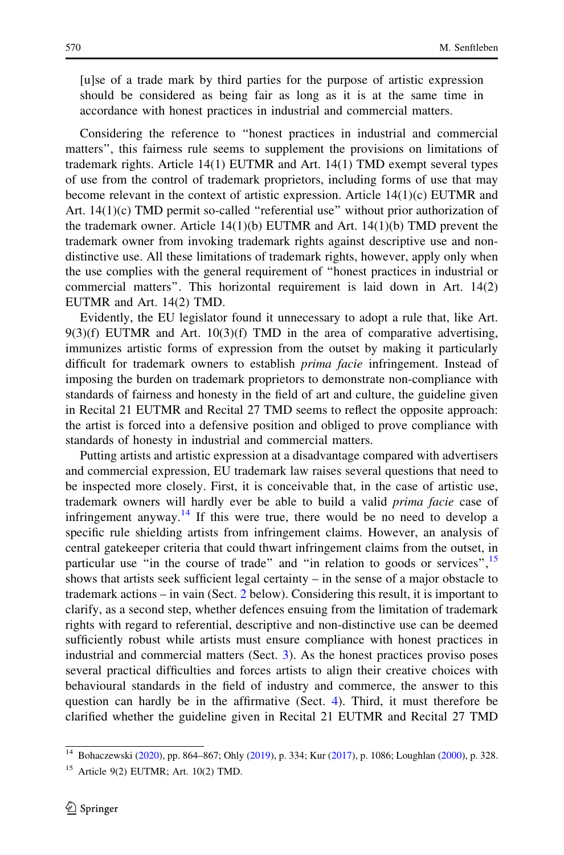[u]se of a trade mark by third parties for the purpose of artistic expression should be considered as being fair as long as it is at the same time in accordance with honest practices in industrial and commercial matters.

Considering the reference to ''honest practices in industrial and commercial matters'', this fairness rule seems to supplement the provisions on limitations of trademark rights. Article 14(1) EUTMR and Art. 14(1) TMD exempt several types of use from the control of trademark proprietors, including forms of use that may become relevant in the context of artistic expression. Article 14(1)(c) EUTMR and Art. 14(1)(c) TMD permit so-called "referential use" without prior authorization of the trademark owner. Article  $14(1)(b)$  EUTMR and Art.  $14(1)(b)$  TMD prevent the trademark owner from invoking trademark rights against descriptive use and nondistinctive use. All these limitations of trademark rights, however, apply only when the use complies with the general requirement of ''honest practices in industrial or commercial matters''. This horizontal requirement is laid down in Art. 14(2) EUTMR and Art. 14(2) TMD.

Evidently, the EU legislator found it unnecessary to adopt a rule that, like Art.  $9(3)(f)$  EUTMR and Art.  $10(3)(f)$  TMD in the area of comparative advertising, immunizes artistic forms of expression from the outset by making it particularly difficult for trademark owners to establish prima facie infringement. Instead of imposing the burden on trademark proprietors to demonstrate non-compliance with standards of fairness and honesty in the field of art and culture, the guideline given in Recital 21 EUTMR and Recital 27 TMD seems to reflect the opposite approach: the artist is forced into a defensive position and obliged to prove compliance with standards of honesty in industrial and commercial matters.

Putting artists and artistic expression at a disadvantage compared with advertisers and commercial expression, EU trademark law raises several questions that need to be inspected more closely. First, it is conceivable that, in the case of artistic use, trademark owners will hardly ever be able to build a valid prima facie case of infringement anyway.<sup>14</sup> If this were true, there would be no need to develop a specific rule shielding artists from infringement claims. However, an analysis of central gatekeeper criteria that could thwart infringement claims from the outset, in particular use "in the course of trade" and "in relation to goods or services",<sup>15</sup> shows that artists seek sufficient legal certainty  $-$  in the sense of a major obstacle to trademark actions – in vain (Sect. [2](#page-5-0) below). Considering this result, it is important to clarify, as a second step, whether defences ensuing from the limitation of trademark rights with regard to referential, descriptive and non-distinctive use can be deemed sufficiently robust while artists must ensure compliance with honest practices in industrial and commercial matters (Sect. [3](#page-15-0)). As the honest practices proviso poses several practical difficulties and forces artists to align their creative choices with behavioural standards in the field of industry and commerce, the answer to this question can hardly be in the affirmative (Sect. [4\)](#page-22-0). Third, it must therefore be clarified whether the guideline given in Recital 21 EUTMR and Recital 27 TMD

<sup>14</sup> Bohaczewski [\(2020\)](#page-34-0), pp. 864–867; Ohly ([2019\)](#page-36-0), p. 334; Kur [\(2017](#page-36-0)), p. 1086; Loughlan [\(2000\)](#page-36-0), p. 328.

 $15$  Article 9(2) EUTMR; Art. 10(2) TMD.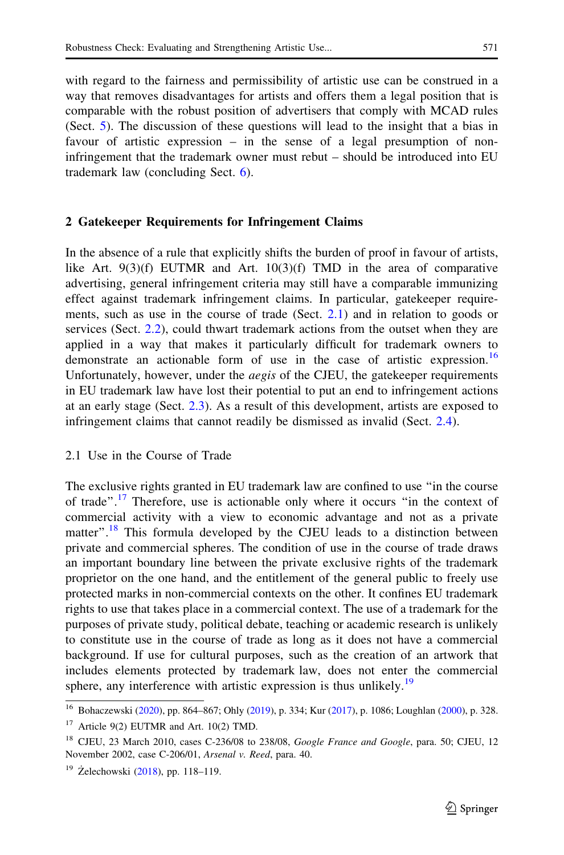<span id="page-5-0"></span>with regard to the fairness and permissibility of artistic use can be construed in a way that removes disadvantages for artists and offers them a legal position that is comparable with the robust position of advertisers that comply with MCAD rules (Sect. [5\)](#page-26-0). The discussion of these questions will lead to the insight that a bias in favour of artistic expression – in the sense of a legal presumption of noninfringement that the trademark owner must rebut – should be introduced into EU trademark law (concluding Sect.  $6$ ).

#### 2 Gatekeeper Requirements for Infringement Claims

In the absence of a rule that explicitly shifts the burden of proof in favour of artists, like Art.  $9(3)(f)$  EUTMR and Art.  $10(3)(f)$  TMD in the area of comparative advertising, general infringement criteria may still have a comparable immunizing effect against trademark infringement claims. In particular, gatekeeper requirements, such as use in the course of trade (Sect. 2.1) and in relation to goods or services (Sect. [2.2\)](#page-7-0), could thwart trademark actions from the outset when they are applied in a way that makes it particularly difficult for trademark owners to demonstrate an actionable form of use in the case of artistic expression.<sup>16</sup> Unfortunately, however, under the *aegis* of the CJEU, the gatekeeper requirements in EU trademark law have lost their potential to put an end to infringement actions at an early stage (Sect. [2.3\)](#page-10-0). As a result of this development, artists are exposed to infringement claims that cannot readily be dismissed as invalid (Sect. [2.4\)](#page-12-0).

#### 2.1 Use in the Course of Trade

The exclusive rights granted in EU trademark law are confined to use ''in the course of trade''.<sup>17</sup> Therefore, use is actionable only where it occurs ''in the context of commercial activity with a view to economic advantage and not as a private matter".<sup>18</sup> This formula developed by the CJEU leads to a distinction between private and commercial spheres. The condition of use in the course of trade draws an important boundary line between the private exclusive rights of the trademark proprietor on the one hand, and the entitlement of the general public to freely use protected marks in non-commercial contexts on the other. It confines EU trademark rights to use that takes place in a commercial context. The use of a trademark for the purposes of private study, political debate, teaching or academic research is unlikely to constitute use in the course of trade as long as it does not have a commercial background. If use for cultural purposes, such as the creation of an artwork that includes elements protected by trademark law, does not enter the commercial sphere, any interference with artistic expression is thus unlikely.<sup>19</sup>

<sup>16</sup> Bohaczewski [\(2020\)](#page-34-0), pp. 864–867; Ohly ([2019\)](#page-36-0), p. 334; Kur [\(2017](#page-36-0)), p. 1086; Loughlan [\(2000\)](#page-36-0), p. 328.

<sup>&</sup>lt;sup>17</sup> Article 9(2) EUTMR and Art. 10(2) TMD.

<sup>&</sup>lt;sup>18</sup> CJEU, 23 March 2010, cases C-236/08 to 238/08, Google France and Google, para. 50; CJEU, 12 November 2002, case C-206/01, Arsenal v. Reed, para. 40.

 $19$  Żelechowski ([2018\)](#page-37-0), pp. 118–119.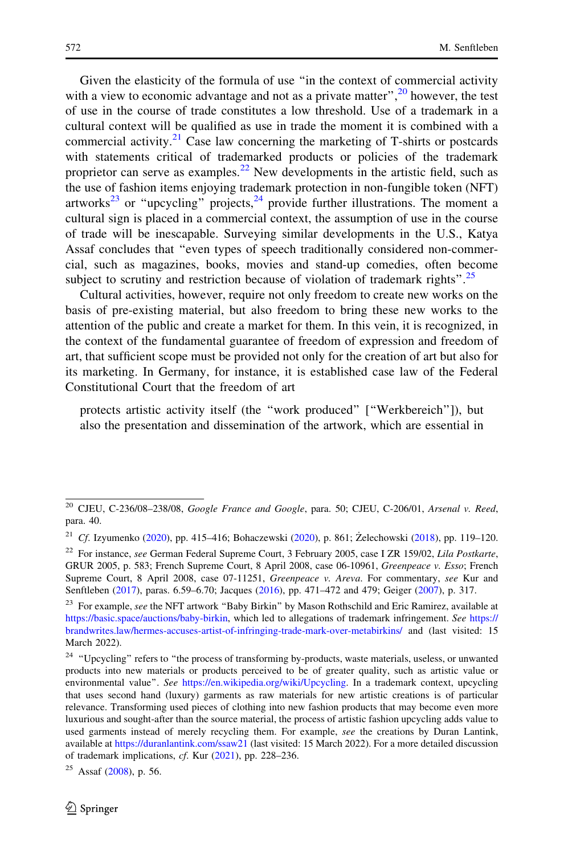Given the elasticity of the formula of use ''in the context of commercial activity with a view to economic advantage and not as a private matter",  $^{20}$  however, the test of use in the course of trade constitutes a low threshold. Use of a trademark in a cultural context will be qualified as use in trade the moment it is combined with a commercial activity.<sup>21</sup> Case law concerning the marketing of T-shirts or postcards with statements critical of trademarked products or policies of the trademark proprietor can serve as examples.<sup>22</sup> New developments in the artistic field, such as the use of fashion items enjoying trademark protection in non-fungible token (NFT) artworks<sup>23</sup> or "upcycling" projects,<sup>24</sup> provide further illustrations. The moment a cultural sign is placed in a commercial context, the assumption of use in the course of trade will be inescapable. Surveying similar developments in the U.S., Katya Assaf concludes that ''even types of speech traditionally considered non-commercial, such as magazines, books, movies and stand-up comedies, often become subject to scrutiny and restriction because of violation of trademark rights".<sup>25</sup>

Cultural activities, however, require not only freedom to create new works on the basis of pre-existing material, but also freedom to bring these new works to the attention of the public and create a market for them. In this vein, it is recognized, in the context of the fundamental guarantee of freedom of expression and freedom of art, that sufficient scope must be provided not only for the creation of art but also for its marketing. In Germany, for instance, it is established case law of the Federal Constitutional Court that the freedom of art

protects artistic activity itself (the ''work produced'' [''Werkbereich'']), but also the presentation and dissemination of the artwork, which are essential in

<sup>&</sup>lt;sup>20</sup> CJEU, C-236/08-238/08, Google France and Google, para. 50; CJEU, C-206/01, Arsenal v. Reed, para. 40.

<sup>&</sup>lt;sup>21</sup> Cf. Izyumenko ([2020\)](#page-36-0), pp. 415–416; Bohaczewski [\(2020](#page-34-0)), p. 861; Żelechowski ([2018](#page-37-0)), pp. 119–120.

 $22$  For instance, see German Federal Supreme Court, 3 February 2005, case I ZR 159/02, Lila Postkarte, GRUR 2005, p. 583; French Supreme Court, 8 April 2008, case 06-10961, Greenpeace v. Esso; French Supreme Court, 8 April 2008, case 07-11251, Greenpeace v. Areva. For commentary, see Kur and Senftleben [\(2017](#page-36-0)), paras. 6.59–6.70; Jacques ([2016\)](#page-36-0), pp. 471–472 and 479; Geiger [\(2007\)](#page-35-0), p. 317.

<sup>&</sup>lt;sup>23</sup> For example, see the NFT artwork "Baby Birkin" by Mason Rothschild and Eric Ramirez, available at [https://basic.space/auctions/baby-birkin,](https://basic.space/auctions/baby-birkin) which led to allegations of trademark infringement. See [https://](https://brandwrites.law/hermes-accuses-artist-of-infringing-trade-mark-over-metabirkins/) [brandwrites.law/hermes-accuses-artist-of-infringing-trade-mark-over-metabirkins/](https://brandwrites.law/hermes-accuses-artist-of-infringing-trade-mark-over-metabirkins/) and (last visited: 15 March 2022).

<sup>&</sup>lt;sup>24</sup> "Upcycling" refers to "the process of transforming by-products, waste materials, useless, or unwanted products into new materials or products perceived to be of greater quality, such as artistic value or environmental value". See [https://en.wikipedia.org/wiki/Upcycling.](https://en.wikipedia.org/wiki/Upcycling) In a trademark context, upcycling that uses second hand (luxury) garments as raw materials for new artistic creations is of particular relevance. Transforming used pieces of clothing into new fashion products that may become even more luxurious and sought-after than the source material, the process of artistic fashion upcycling adds value to used garments instead of merely recycling them. For example, see the creations by Duran Lantink, available at <https://duranlantink.com/ssaw21> (last visited: 15 March 2022). For a more detailed discussion of trademark implications, cf. Kur ([2021](#page-36-0)), pp. 228–236.

 $25$  Assaf [\(2008](#page-34-0)), p. 56.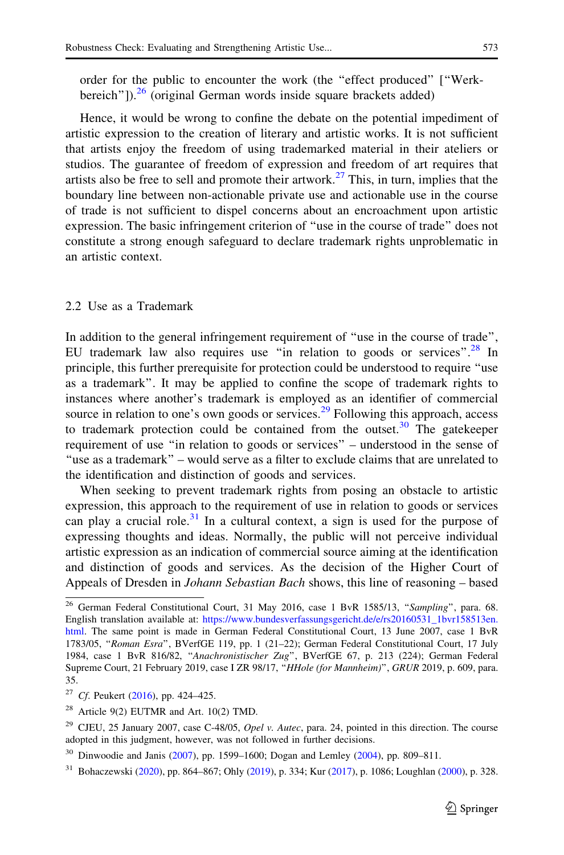<span id="page-7-0"></span>order for the public to encounter the work (the ''effect produced'' [''Werkbereich"]).<sup>26</sup> (original German words inside square brackets added)

Hence, it would be wrong to confine the debate on the potential impediment of artistic expression to the creation of literary and artistic works. It is not sufficient that artists enjoy the freedom of using trademarked material in their ateliers or studios. The guarantee of freedom of expression and freedom of art requires that artists also be free to sell and promote their artwork.<sup>27</sup> This, in turn, implies that the boundary line between non-actionable private use and actionable use in the course of trade is not sufficient to dispel concerns about an encroachment upon artistic expression. The basic infringement criterion of ''use in the course of trade'' does not constitute a strong enough safeguard to declare trademark rights unproblematic in an artistic context.

#### 2.2 Use as a Trademark

In addition to the general infringement requirement of ''use in the course of trade'', EU trademark law also requires use "in relation to goods or services".<sup>28</sup> In principle, this further prerequisite for protection could be understood to require ''use as a trademark''. It may be applied to confine the scope of trademark rights to instances where another's trademark is employed as an identifier of commercial source in relation to one's own goods or services. $2<sup>9</sup>$  Following this approach, access to trademark protection could be contained from the outset.<sup>30</sup> The gatekeeper requirement of use ''in relation to goods or services'' – understood in the sense of ''use as a trademark'' – would serve as a filter to exclude claims that are unrelated to the identification and distinction of goods and services.

When seeking to prevent trademark rights from posing an obstacle to artistic expression, this approach to the requirement of use in relation to goods or services can play a crucial role. $31$  In a cultural context, a sign is used for the purpose of expressing thoughts and ideas. Normally, the public will not perceive individual artistic expression as an indication of commercial source aiming at the identification and distinction of goods and services. As the decision of the Higher Court of Appeals of Dresden in Johann Sebastian Bach shows, this line of reasoning – based

<sup>&</sup>lt;sup>26</sup> German Federal Constitutional Court, 31 May 2016, case 1 BvR 1585/13, "Sampling", para. 68. English translation available at: [https://www.bundesverfassungsgericht.de/e/rs20160531\\_1bvr158513en.](https://www.bundesverfassungsgericht.de/e/rs20160531_1bvr158513en.html) [html.](https://www.bundesverfassungsgericht.de/e/rs20160531_1bvr158513en.html) The same point is made in German Federal Constitutional Court, 13 June 2007, case 1 BvR 1783/05, "Roman Esra", BVerfGE 119, pp. 1 (21-22); German Federal Constitutional Court, 17 July 1984, case 1 BvR 816/82, ''Anachronistischer Zug'', BVerfGE 67, p. 213 (224); German Federal Supreme Court, 21 February 2019, case I ZR 98/17, "HHole (for Mannheim)", GRUR 2019, p. 609, para. 35.

<sup>&</sup>lt;sup>27</sup> Cf. Peukert ([2016\)](#page-37-0), pp. 424–425.

 $28$  Article 9(2) EUTMR and Art. 10(2) TMD.

<sup>&</sup>lt;sup>29</sup> CJEU, 25 January 2007, case C-48/05, Opel v. Autec, para. 24, pointed in this direction. The course adopted in this judgment, however, was not followed in further decisions.

<sup>30</sup> Dinwoodie and Janis [\(2007](#page-35-0)), pp. 1599–1600; Dogan and Lemley [\(2004](#page-35-0)), pp. 809–811.

<sup>31</sup> Bohaczewski [\(2020\)](#page-34-0), pp. 864–867; Ohly ([2019\)](#page-36-0), p. 334; Kur [\(2017](#page-36-0)), p. 1086; Loughlan [\(2000\)](#page-36-0), p. 328.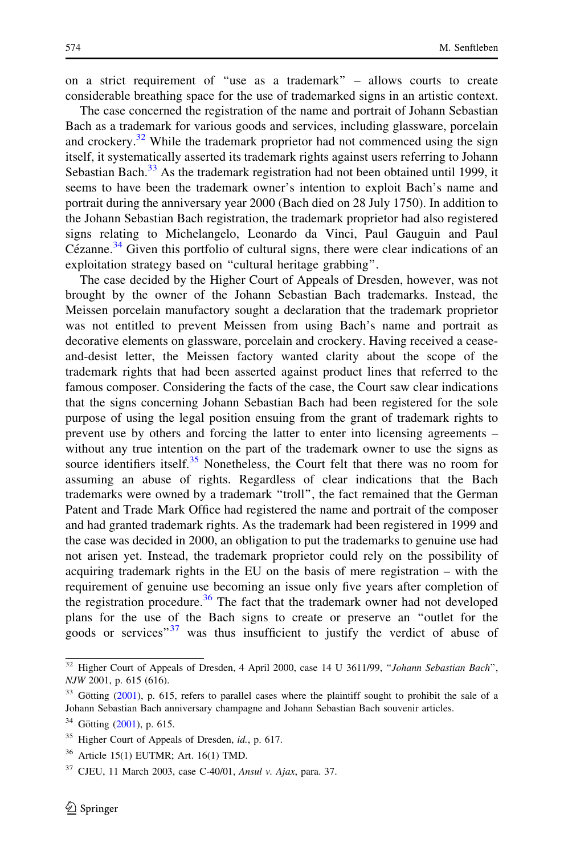on a strict requirement of ''use as a trademark'' – allows courts to create considerable breathing space for the use of trademarked signs in an artistic context.

The case concerned the registration of the name and portrait of Johann Sebastian Bach as a trademark for various goods and services, including glassware, porcelain and crockery.<sup>32</sup> While the trademark proprietor had not commenced using the sign itself, it systematically asserted its trademark rights against users referring to Johann Sebastian Bach. $33$  As the trademark registration had not been obtained until 1999, it seems to have been the trademark owner's intention to exploit Bach's name and portrait during the anniversary year 2000 (Bach died on 28 July 1750). In addition to the Johann Sebastian Bach registration, the trademark proprietor had also registered signs relating to Michelangelo, Leonardo da Vinci, Paul Gauguin and Paul Cézanne.<sup>34</sup> Given this portfolio of cultural signs, there were clear indications of an exploitation strategy based on ''cultural heritage grabbing''.

The case decided by the Higher Court of Appeals of Dresden, however, was not brought by the owner of the Johann Sebastian Bach trademarks. Instead, the Meissen porcelain manufactory sought a declaration that the trademark proprietor was not entitled to prevent Meissen from using Bach's name and portrait as decorative elements on glassware, porcelain and crockery. Having received a ceaseand-desist letter, the Meissen factory wanted clarity about the scope of the trademark rights that had been asserted against product lines that referred to the famous composer. Considering the facts of the case, the Court saw clear indications that the signs concerning Johann Sebastian Bach had been registered for the sole purpose of using the legal position ensuing from the grant of trademark rights to prevent use by others and forcing the latter to enter into licensing agreements – without any true intention on the part of the trademark owner to use the signs as source identifiers itself.<sup>35</sup> Nonetheless, the Court felt that there was no room for assuming an abuse of rights. Regardless of clear indications that the Bach trademarks were owned by a trademark ''troll'', the fact remained that the German Patent and Trade Mark Office had registered the name and portrait of the composer and had granted trademark rights. As the trademark had been registered in 1999 and the case was decided in 2000, an obligation to put the trademarks to genuine use had not arisen yet. Instead, the trademark proprietor could rely on the possibility of acquiring trademark rights in the EU on the basis of mere registration – with the requirement of genuine use becoming an issue only five years after completion of the registration procedure.<sup>36</sup> The fact that the trademark owner had not developed plans for the use of the Bach signs to create or preserve an ''outlet for the goods or services<sup>"37</sup> was thus insufficient to justify the verdict of abuse of

 $\overline{32}$  Higher Court of Appeals of Dresden, 4 April 2000, case 14 U 3611/99, "Johann Sebastian Bach", NJW 2001, p. 615 (616).

 $33$  Götting [\(2001](#page-35-0)), p. 615, refers to parallel cases where the plaintiff sought to prohibit the sale of a Johann Sebastian Bach anniversary champagne and Johann Sebastian Bach souvenir articles.

 $34$  Götting ([2001\)](#page-35-0), p. 615.

<sup>&</sup>lt;sup>35</sup> Higher Court of Appeals of Dresden, id., p. 617.

 $36$  Article 15(1) EUTMR; Art. 16(1) TMD.

 $37$  CJEU, 11 March 2003, case C-40/01, Ansul v. Ajax, para. 37.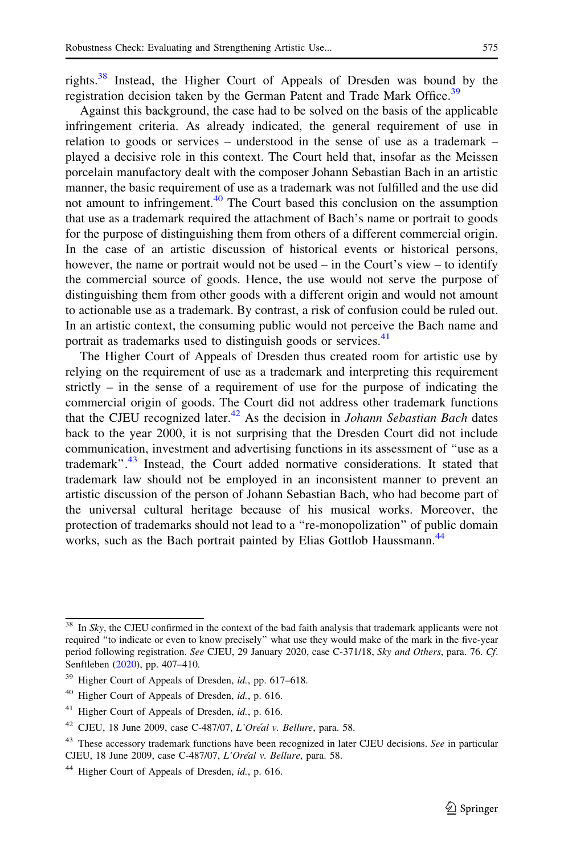rights.<sup>38</sup> Instead, the Higher Court of Appeals of Dresden was bound by the registration decision taken by the German Patent and Trade Mark Office.<sup>39</sup>

Against this background, the case had to be solved on the basis of the applicable infringement criteria. As already indicated, the general requirement of use in relation to goods or services – understood in the sense of use as a trademark – played a decisive role in this context. The Court held that, insofar as the Meissen porcelain manufactory dealt with the composer Johann Sebastian Bach in an artistic manner, the basic requirement of use as a trademark was not fulfilled and the use did not amount to infringement.<sup>40</sup> The Court based this conclusion on the assumption that use as a trademark required the attachment of Bach's name or portrait to goods for the purpose of distinguishing them from others of a different commercial origin. In the case of an artistic discussion of historical events or historical persons, however, the name or portrait would not be used – in the Court's view – to identify the commercial source of goods. Hence, the use would not serve the purpose of distinguishing them from other goods with a different origin and would not amount to actionable use as a trademark. By contrast, a risk of confusion could be ruled out. In an artistic context, the consuming public would not perceive the Bach name and portrait as trademarks used to distinguish goods or services.<sup>41</sup>

The Higher Court of Appeals of Dresden thus created room for artistic use by relying on the requirement of use as a trademark and interpreting this requirement strictly – in the sense of a requirement of use for the purpose of indicating the commercial origin of goods. The Court did not address other trademark functions that the CJEU recognized later.<sup>42</sup> As the decision in *Johann Sebastian Bach* dates back to the year 2000, it is not surprising that the Dresden Court did not include communication, investment and advertising functions in its assessment of ''use as a trademark".<sup>43</sup> Instead, the Court added normative considerations. It stated that trademark law should not be employed in an inconsistent manner to prevent an artistic discussion of the person of Johann Sebastian Bach, who had become part of the universal cultural heritage because of his musical works. Moreover, the protection of trademarks should not lead to a ''re-monopolization'' of public domain works, such as the Bach portrait painted by Elias Gottlob Haussmann.<sup>44</sup>

<sup>&</sup>lt;sup>38</sup> In Sky, the CJEU confirmed in the context of the bad faith analysis that trademark applicants were not required ''to indicate or even to know precisely'' what use they would make of the mark in the five-year period following registration. See CJEU, 29 January 2020, case C-371/18, Sky and Others, para. 76. Cf. Senftleben [\(2020](#page-37-0)), pp. 407–410.

<sup>&</sup>lt;sup>39</sup> Higher Court of Appeals of Dresden, id., pp. 617–618.

<sup>40</sup> Higher Court of Appeals of Dresden, id., p. 616.

<sup>&</sup>lt;sup>41</sup> Higher Court of Appeals of Dresden, id., p. 616.

<sup>&</sup>lt;sup>42</sup> CJEU, 18 June 2009, case C-487/07, L'Oréal v. Bellure, para. 58.

 $43$  These accessory trademark functions have been recognized in later CJEU decisions. See in particular CJEU, 18 June 2009, case C-487/07, L'Oréal v. Bellure, para. 58.

<sup>&</sup>lt;sup>44</sup> Higher Court of Appeals of Dresden,  $id.$ , p. 616.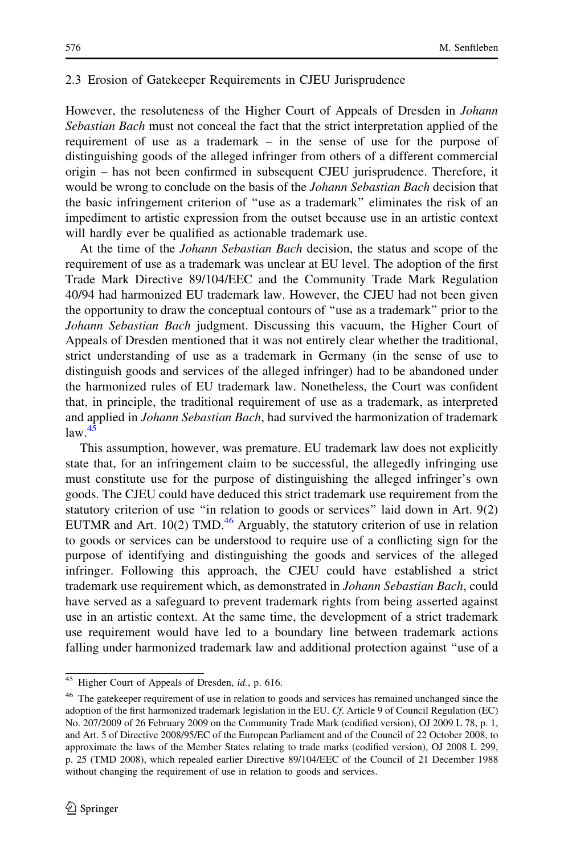#### <span id="page-10-0"></span>2.3 Erosion of Gatekeeper Requirements in CJEU Jurisprudence

However, the resoluteness of the Higher Court of Appeals of Dresden in Johann Sebastian Bach must not conceal the fact that the strict interpretation applied of the requirement of use as a trademark – in the sense of use for the purpose of distinguishing goods of the alleged infringer from others of a different commercial origin – has not been confirmed in subsequent CJEU jurisprudence. Therefore, it would be wrong to conclude on the basis of the *Johann Sebastian Bach* decision that the basic infringement criterion of ''use as a trademark'' eliminates the risk of an impediment to artistic expression from the outset because use in an artistic context will hardly ever be qualified as actionable trademark use.

At the time of the Johann Sebastian Bach decision, the status and scope of the requirement of use as a trademark was unclear at EU level. The adoption of the first Trade Mark Directive 89/104/EEC and the Community Trade Mark Regulation 40/94 had harmonized EU trademark law. However, the CJEU had not been given the opportunity to draw the conceptual contours of ''use as a trademark'' prior to the Johann Sebastian Bach judgment. Discussing this vacuum, the Higher Court of Appeals of Dresden mentioned that it was not entirely clear whether the traditional, strict understanding of use as a trademark in Germany (in the sense of use to distinguish goods and services of the alleged infringer) had to be abandoned under the harmonized rules of EU trademark law. Nonetheless, the Court was confident that, in principle, the traditional requirement of use as a trademark, as interpreted and applied in Johann Sebastian Bach, had survived the harmonization of trademark  $law.<sup>45</sup>$ 

This assumption, however, was premature. EU trademark law does not explicitly state that, for an infringement claim to be successful, the allegedly infringing use must constitute use for the purpose of distinguishing the alleged infringer's own goods. The CJEU could have deduced this strict trademark use requirement from the statutory criterion of use ''in relation to goods or services'' laid down in Art. 9(2) EUTMR and Art. 10(2) TMD.<sup>46</sup> Arguably, the statutory criterion of use in relation to goods or services can be understood to require use of a conflicting sign for the purpose of identifying and distinguishing the goods and services of the alleged infringer. Following this approach, the CJEU could have established a strict trademark use requirement which, as demonstrated in Johann Sebastian Bach, could have served as a safeguard to prevent trademark rights from being asserted against use in an artistic context. At the same time, the development of a strict trademark use requirement would have led to a boundary line between trademark actions falling under harmonized trademark law and additional protection against ''use of a

<sup>45</sup> Higher Court of Appeals of Dresden, id., p. 616.

<sup>&</sup>lt;sup>46</sup> The gatekeeper requirement of use in relation to goods and services has remained unchanged since the adoption of the first harmonized trademark legislation in the EU. Cf. Article 9 of Council Regulation (EC) No. 207/2009 of 26 February 2009 on the Community Trade Mark (codified version), OJ 2009 L 78, p. 1, and Art. 5 of Directive 2008/95/EC of the European Parliament and of the Council of 22 October 2008, to approximate the laws of the Member States relating to trade marks (codified version), OJ 2008 L 299, p. 25 (TMD 2008), which repealed earlier Directive 89/104/EEC of the Council of 21 December 1988 without changing the requirement of use in relation to goods and services.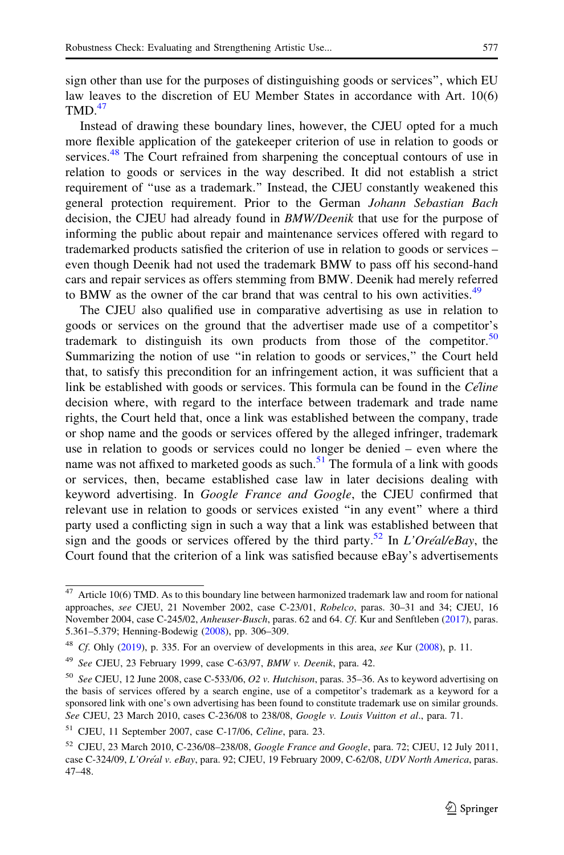sign other than use for the purposes of distinguishing goods or services'', which EU law leaves to the discretion of EU Member States in accordance with Art. 10(6)  $TMD<sup>47</sup>$ 

Instead of drawing these boundary lines, however, the CJEU opted for a much more flexible application of the gatekeeper criterion of use in relation to goods or services.<sup>48</sup> The Court refrained from sharpening the conceptual contours of use in relation to goods or services in the way described. It did not establish a strict requirement of ''use as a trademark.'' Instead, the CJEU constantly weakened this general protection requirement. Prior to the German Johann Sebastian Bach decision, the CJEU had already found in *BMW/Deenik* that use for the purpose of informing the public about repair and maintenance services offered with regard to trademarked products satisfied the criterion of use in relation to goods or services – even though Deenik had not used the trademark BMW to pass off his second-hand cars and repair services as offers stemming from BMW. Deenik had merely referred to BMW as the owner of the car brand that was central to his own activities.<sup>49</sup>

The CJEU also qualified use in comparative advertising as use in relation to goods or services on the ground that the advertiser made use of a competitor's trademark to distinguish its own products from those of the competitor.<sup>50</sup> Summarizing the notion of use ''in relation to goods or services,'' the Court held that, to satisfy this precondition for an infringement action, it was sufficient that a link be established with goods or services. This formula can be found in the  $C \ell line$ decision where, with regard to the interface between trademark and trade name rights, the Court held that, once a link was established between the company, trade or shop name and the goods or services offered by the alleged infringer, trademark use in relation to goods or services could no longer be denied – even where the name was not affixed to marketed goods as such.<sup>51</sup> The formula of a link with goods or services, then, became established case law in later decisions dealing with keyword advertising. In Google France and Google, the CJEU confirmed that relevant use in relation to goods or services existed ''in any event'' where a third party used a conflicting sign in such a way that a link was established between that sign and the goods or services offered by the third party.<sup>52</sup> In  $L'Oreál/eBay$ , the Court found that the criterion of a link was satisfied because eBay's advertisements

 $\overline{47}$  Article 10(6) TMD. As to this boundary line between harmonized trademark law and room for national approaches, see CJEU, 21 November 2002, case C-23/01, Robelco, paras. 30–31 and 34; CJEU, 16 November 2004, case C-245/02, Anheuser-Busch, paras. 62 and 64. Cf. Kur and Senftleben [\(2017\)](#page-36-0), paras. 5.361–5.379; Henning-Bodewig ([2008\)](#page-36-0), pp. 306–309.

 $48$  Cf. Ohly [\(2019](#page-36-0)), p. 335. For an overview of developments in this area, see Kur ([2008](#page-36-0)), p. 11.

 $49$  See CJEU, 23 February 1999, case C-63/97, BMW v. Deenik, para. 42.

 $50$  See CJEU, 12 June 2008, case C-533/06, O2 v. Hutchison, paras. 35–36. As to keyword advertising on the basis of services offered by a search engine, use of a competitor's trademark as a keyword for a sponsored link with one's own advertising has been found to constitute trademark use on similar grounds. See CJEU, 23 March 2010, cases C-236/08 to 238/08, Google v. Louis Vuitton et al., para. 71.

 $51$  CJEU, 11 September 2007, case C-17/06, Celine, para. 23.

<sup>52</sup> CJEU, 23 March 2010, C-236/08–238/08, Google France and Google, para. 72; CJEU, 12 July 2011, case C-324/09, L'Oréal v. eBay, para. 92; CJEU, 19 February 2009, C-62/08, UDV North America, paras. 47–48.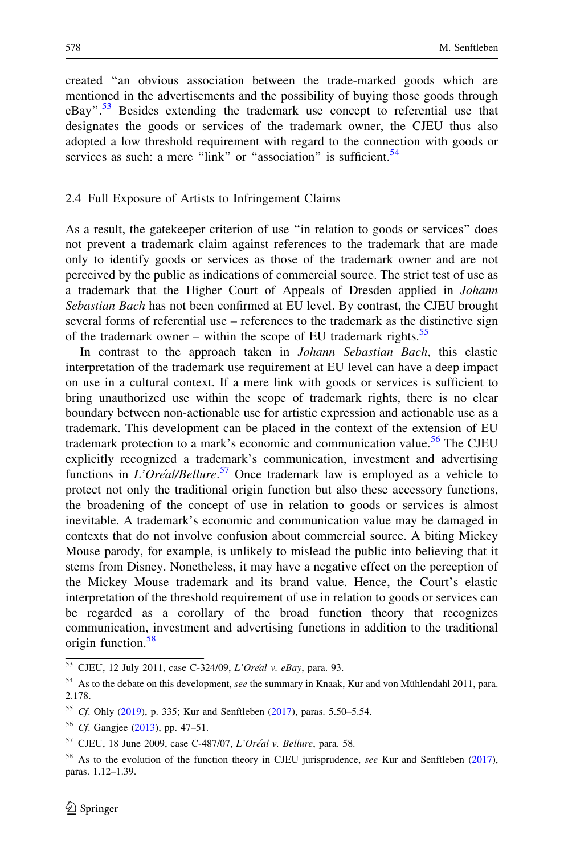<span id="page-12-0"></span>created ''an obvious association between the trade-marked goods which are mentioned in the advertisements and the possibility of buying those goods through eBay".<sup>53</sup> Besides extending the trademark use concept to referential use that designates the goods or services of the trademark owner, the CJEU thus also adopted a low threshold requirement with regard to the connection with goods or services as such: a mere " $\lim k$ " or "association" is sufficient.<sup>54</sup>

#### 2.4 Full Exposure of Artists to Infringement Claims

As a result, the gatekeeper criterion of use ''in relation to goods or services'' does not prevent a trademark claim against references to the trademark that are made only to identify goods or services as those of the trademark owner and are not perceived by the public as indications of commercial source. The strict test of use as a trademark that the Higher Court of Appeals of Dresden applied in Johann Sebastian Bach has not been confirmed at EU level. By contrast, the CJEU brought several forms of referential use – references to the trademark as the distinctive sign of the trademark owner – within the scope of EU trademark rights.<sup>55</sup>

In contrast to the approach taken in *Johann Sebastian Bach*, this elastic interpretation of the trademark use requirement at EU level can have a deep impact on use in a cultural context. If a mere link with goods or services is sufficient to bring unauthorized use within the scope of trademark rights, there is no clear boundary between non-actionable use for artistic expression and actionable use as a trademark. This development can be placed in the context of the extension of EU trademark protection to a mark's economic and communication value.<sup>56</sup> The CJEU explicitly recognized a trademark's communication, investment and advertising functions in  $L'Or\acute{e}al/Bellure.$ <sup>57</sup> Once trademark law is employed as a vehicle to protect not only the traditional origin function but also these accessory functions, the broadening of the concept of use in relation to goods or services is almost inevitable. A trademark's economic and communication value may be damaged in contexts that do not involve confusion about commercial source. A biting Mickey Mouse parody, for example, is unlikely to mislead the public into believing that it stems from Disney. Nonetheless, it may have a negative effect on the perception of the Mickey Mouse trademark and its brand value. Hence, the Court's elastic interpretation of the threshold requirement of use in relation to goods or services can be regarded as a corollary of the broad function theory that recognizes communication, investment and advertising functions in addition to the traditional origin function.<sup>58</sup>

<sup>53</sup> CJEU, 12 July 2011, case C-324/09, L'Oréal v. eBay, para. 93.

 $54$  As to the debate on this development, see the summary in Knaak, Kur and von Mühlendahl 2011, para. 2.178.

<sup>55</sup> Cf. Ohly [\(2019](#page-36-0)), p. 335; Kur and Senftleben ([2017](#page-36-0)), paras. 5.50–5.54.

<sup>56</sup> Cf. Gangjee [\(2013\)](#page-35-0), pp. 47–51.

 $57$  CJEU, 18 June 2009, case C-487/07, L'Oréal v. Bellure, para. 58.

<sup>&</sup>lt;sup>58</sup> As to the evolution of the function theory in CJEU jurisprudence, see Kur and Senftleben ([2017\)](#page-36-0), paras. 1.12–1.39.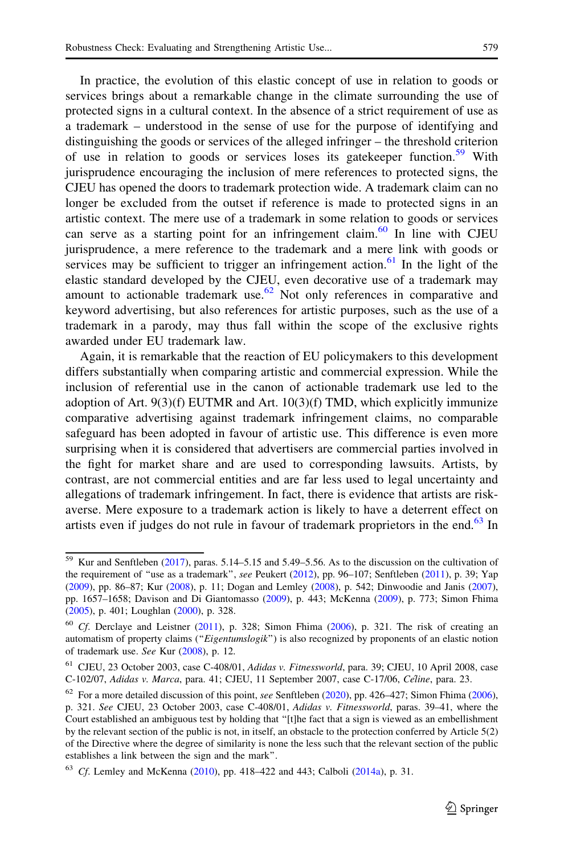In practice, the evolution of this elastic concept of use in relation to goods or services brings about a remarkable change in the climate surrounding the use of protected signs in a cultural context. In the absence of a strict requirement of use as a trademark – understood in the sense of use for the purpose of identifying and distinguishing the goods or services of the alleged infringer – the threshold criterion of use in relation to goods or services loses its gatekeeper function.<sup>59</sup> With jurisprudence encouraging the inclusion of mere references to protected signs, the CJEU has opened the doors to trademark protection wide. A trademark claim can no longer be excluded from the outset if reference is made to protected signs in an artistic context. The mere use of a trademark in some relation to goods or services can serve as a starting point for an infringement claim.  $60$  In line with CJEU jurisprudence, a mere reference to the trademark and a mere link with goods or services may be sufficient to trigger an infringement action.<sup>61</sup> In the light of the elastic standard developed by the CJEU, even decorative use of a trademark may amount to actionable trademark use.<sup>62</sup> Not only references in comparative and keyword advertising, but also references for artistic purposes, such as the use of a trademark in a parody, may thus fall within the scope of the exclusive rights awarded under EU trademark law.

Again, it is remarkable that the reaction of EU policymakers to this development differs substantially when comparing artistic and commercial expression. While the inclusion of referential use in the canon of actionable trademark use led to the adoption of Art.  $9(3)(f)$  EUTMR and Art.  $10(3)(f)$  TMD, which explicitly immunize comparative advertising against trademark infringement claims, no comparable safeguard has been adopted in favour of artistic use. This difference is even more surprising when it is considered that advertisers are commercial parties involved in the fight for market share and are used to corresponding lawsuits. Artists, by contrast, are not commercial entities and are far less used to legal uncertainty and allegations of trademark infringement. In fact, there is evidence that artists are riskaverse. Mere exposure to a trademark action is likely to have a deterrent effect on artists even if judges do not rule in favour of trademark proprietors in the end.<sup>63</sup> In

 $\frac{59}{59}$  Kur and Senftleben [\(2017](#page-36-0)), paras. 5.14–5.15 and 5.49–5.56. As to the discussion on the cultivation of the requirement of "use as a trademark", see Peukert [\(2012](#page-37-0)), pp. 96-107; Senftleben [\(2011](#page-37-0)), p. 39; Yap ([2009\)](#page-37-0), pp. 86–87; Kur [\(2008](#page-36-0)), p. 11; Dogan and Lemley [\(2008](#page-35-0)), p. 542; Dinwoodie and Janis ([2007\)](#page-35-0), pp. 1657–1658; Davison and Di Giantomasso [\(2009](#page-35-0)), p. 443; McKenna [\(2009](#page-36-0)), p. 773; Simon Fhima ([2005\)](#page-37-0), p. 401; Loughlan [\(2000](#page-36-0)), p. 328.

 $60$  Cf. Derclaye and Leistner ([2011](#page-35-0)), p. 328; Simon Fhima ([2006](#page-37-0)), p. 321. The risk of creating an automatism of property claims ("Eigentumslogik") is also recognized by proponents of an elastic notion of trademark use. See Kur ([2008\)](#page-36-0), p. 12.

<sup>61</sup> CJEU, 23 October 2003, case C-408/01, Adidas v. Fitnessworld, para. 39; CJEU, 10 April 2008, case C-102/07, Adidas v. Marca, para. 41; CJEU, 11 September 2007, case C-17/06, Celine, para. 23.

 $62$  For a more detailed discussion of this point, see Senftleben ([2020\)](#page-37-0), pp. 426-427; Simon Fhima ([2006\)](#page-37-0), p. 321. See CJEU, 23 October 2003, case C-408/01, Adidas v. Fitnessworld, paras. 39–41, where the Court established an ambiguous test by holding that ''[t]he fact that a sign is viewed as an embellishment by the relevant section of the public is not, in itself, an obstacle to the protection conferred by Article 5(2) of the Directive where the degree of similarity is none the less such that the relevant section of the public establishes a link between the sign and the mark''.

 $63$  Cf. Lemley and McKenna [\(2010\)](#page-36-0), pp. 418–422 and 443; Calboli [\(2014a\)](#page-35-0), p. 31.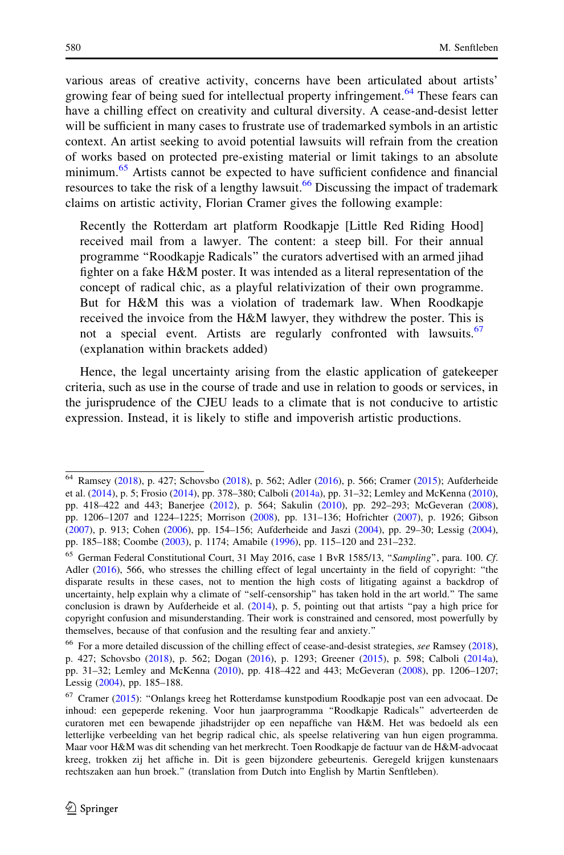various areas of creative activity, concerns have been articulated about artists' growing fear of being sued for intellectual property infringement.<sup>64</sup> These fears can have a chilling effect on creativity and cultural diversity. A cease-and-desist letter will be sufficient in many cases to frustrate use of trademarked symbols in an artistic context. An artist seeking to avoid potential lawsuits will refrain from the creation of works based on protected pre-existing material or limit takings to an absolute minimum.<sup>65</sup> Artists cannot be expected to have sufficient confidence and financial resources to take the risk of a lengthy lawsuit.<sup>66</sup> Discussing the impact of trademark claims on artistic activity, Florian Cramer gives the following example:

Recently the Rotterdam art platform Roodkapje [Little Red Riding Hood] received mail from a lawyer. The content: a steep bill. For their annual programme ''Roodkapje Radicals'' the curators advertised with an armed jihad fighter on a fake H&M poster. It was intended as a literal representation of the concept of radical chic, as a playful relativization of their own programme. But for H&M this was a violation of trademark law. When Roodkapje received the invoice from the H&M lawyer, they withdrew the poster. This is not a special event. Artists are regularly confronted with lawsuits.<sup>67</sup> (explanation within brackets added)

Hence, the legal uncertainty arising from the elastic application of gatekeeper criteria, such as use in the course of trade and use in relation to goods or services, in the jurisprudence of the CJEU leads to a climate that is not conducive to artistic expression. Instead, it is likely to stifle and impoverish artistic productions.

<sup>64</sup> Ramsey ([2018\)](#page-37-0), p. 427; Schovsbo [\(2018](#page-37-0)), p. 562; Adler ([2016\)](#page-34-0), p. 566; Cramer [\(2015](#page-35-0)); Aufderheide et al. [\(2014](#page-34-0)), p. 5; Frosio ([2014\)](#page-35-0), pp. 378–380; Calboli ([2014a](#page-35-0)), pp. 31–32; Lemley and McKenna ([2010\)](#page-36-0), pp. 418–422 and 443; Banerjee [\(2012](#page-34-0)), p. 564; Sakulin [\(2010](#page-37-0)), pp. 292–293; McGeveran ([2008\)](#page-36-0), pp. 1206–1207 and 1224–1225; Morrison ([2008\)](#page-36-0), pp. 131–136; Hofrichter [\(2007](#page-36-0)), p. 1926; Gibson ([2007\)](#page-35-0), p. 913; Cohen [\(2006](#page-35-0)), pp. 154–156; Aufderheide and Jaszi [\(2004](#page-34-0)), pp. 29–30; Lessig ([2004\)](#page-36-0), pp. 185–188; Coombe ([2003\)](#page-35-0), p. 1174; Amabile [\(1996\)](#page-34-0), pp. 115–120 and 231–232.

<sup>&</sup>lt;sup>65</sup> German Federal Constitutional Court, 31 May 2016, case 1 BvR 1585/13, "Sampling", para. 100. Cf. Adler ([2016\)](#page-34-0), 566, who stresses the chilling effect of legal uncertainty in the field of copyright: "the disparate results in these cases, not to mention the high costs of litigating against a backdrop of uncertainty, help explain why a climate of ''self-censorship'' has taken hold in the art world.'' The same conclusion is drawn by Aufderheide et al. ([2014\)](#page-34-0), p. 5, pointing out that artists ''pay a high price for copyright confusion and misunderstanding. Their work is constrained and censored, most powerfully by themselves, because of that confusion and the resulting fear and anxiety.''

<sup>&</sup>lt;sup>66</sup> For a more detailed discussion of the chilling effect of cease-and-desist strategies, see Ramsey ([2018\)](#page-37-0), p. 427; Schovsbo ([2018\)](#page-37-0), p. 562; Dogan [\(2016\)](#page-35-0), p. 1293; Greener ([2015\)](#page-35-0), p. 598; Calboli [\(2014a\)](#page-35-0), pp. 31–32; Lemley and McKenna [\(2010](#page-36-0)), pp. 418–422 and 443; McGeveran [\(2008](#page-36-0)), pp. 1206–1207; Lessig [\(2004\)](#page-36-0), pp. 185–188.

<sup>&</sup>lt;sup>67</sup> Cramer [\(2015\)](#page-35-0): "Onlangs kreeg het Rotterdamse kunstpodium Roodkapje post van een advocaat. De inhoud: een gepeperde rekening. Voor hun jaarprogramma ''Roodkapje Radicals'' adverteerden de curatoren met een bewapende jihadstrijder op een nepaffiche van H&M. Het was bedoeld als een letterlijke verbeelding van het begrip radical chic, als speelse relativering van hun eigen programma. Maar voor H&M was dit schending van het merkrecht. Toen Roodkapje de factuur van de H&M-advocaat kreeg, trokken zij het affiche in. Dit is geen bijzondere gebeurtenis. Geregeld krijgen kunstenaars rechtszaken aan hun broek.'' (translation from Dutch into English by Martin Senftleben).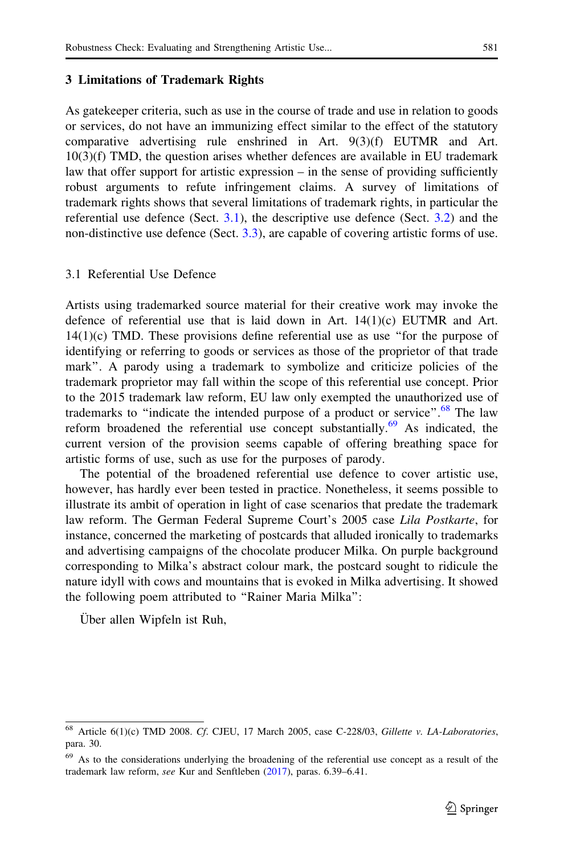#### <span id="page-15-0"></span>3 Limitations of Trademark Rights

As gatekeeper criteria, such as use in the course of trade and use in relation to goods or services, do not have an immunizing effect similar to the effect of the statutory comparative advertising rule enshrined in Art. 9(3)(f) EUTMR and Art. 10(3)(f) TMD, the question arises whether defences are available in EU trademark law that offer support for artistic expression – in the sense of providing sufficiently robust arguments to refute infringement claims. A survey of limitations of trademark rights shows that several limitations of trademark rights, in particular the referential use defence (Sect.  $3.1$ ), the descriptive use defence (Sect.  $3.2$ ) and the non-distinctive use defence (Sect. [3.3](#page-20-0)), are capable of covering artistic forms of use.

#### 3.1 Referential Use Defence

Artists using trademarked source material for their creative work may invoke the defence of referential use that is laid down in Art. 14(1)(c) EUTMR and Art.  $14(1)(c)$  TMD. These provisions define referential use as use "for the purpose of identifying or referring to goods or services as those of the proprietor of that trade mark''. A parody using a trademark to symbolize and criticize policies of the trademark proprietor may fall within the scope of this referential use concept. Prior to the 2015 trademark law reform, EU law only exempted the unauthorized use of trademarks to "indicate the intended purpose of a product or service".<sup>68</sup> The law reform broadened the referential use concept substantially.<sup>69</sup> As indicated, the current version of the provision seems capable of offering breathing space for artistic forms of use, such as use for the purposes of parody.

The potential of the broadened referential use defence to cover artistic use, however, has hardly ever been tested in practice. Nonetheless, it seems possible to illustrate its ambit of operation in light of case scenarios that predate the trademark law reform. The German Federal Supreme Court's 2005 case Lila Postkarte, for instance, concerned the marketing of postcards that alluded ironically to trademarks and advertising campaigns of the chocolate producer Milka. On purple background corresponding to Milka's abstract colour mark, the postcard sought to ridicule the nature idyll with cows and mountains that is evoked in Milka advertising. It showed the following poem attributed to ''Rainer Maria Milka'':

Uber allen Wipfeln ist Ruh,

<sup>68</sup> Article 6(1)(c) TMD 2008. Cf. CJEU, 17 March 2005, case C-228/03, Gillette v. LA-Laboratories, para. 30.

<sup>69</sup> As to the considerations underlying the broadening of the referential use concept as a result of the trademark law reform, see Kur and Senftleben ([2017\)](#page-36-0), paras. 6.39–6.41.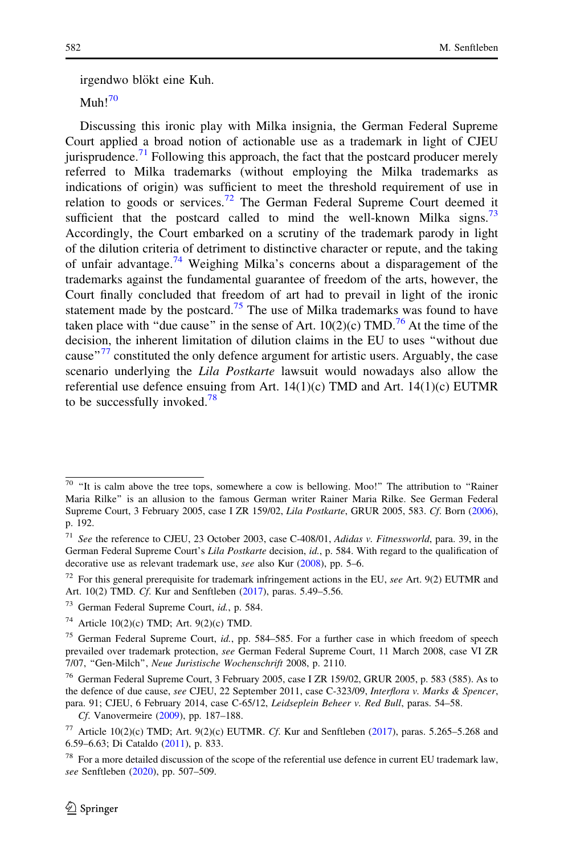irgendwo blökt eine Kuh.

 $M<sub>11</sub>h<sup>70</sup>$ 

Discussing this ironic play with Milka insignia, the German Federal Supreme Court applied a broad notion of actionable use as a trademark in light of CJEU jurisprudence.<sup>71</sup> Following this approach, the fact that the postcard producer merely referred to Milka trademarks (without employing the Milka trademarks as indications of origin) was sufficient to meet the threshold requirement of use in relation to goods or services.<sup>72</sup> The German Federal Supreme Court deemed it sufficient that the postcard called to mind the well-known Milka signs.<sup>73</sup> Accordingly, the Court embarked on a scrutiny of the trademark parody in light of the dilution criteria of detriment to distinctive character or repute, and the taking of unfair advantage.<sup>74</sup> Weighing Milka's concerns about a disparagement of the trademarks against the fundamental guarantee of freedom of the arts, however, the Court finally concluded that freedom of art had to prevail in light of the ironic statement made by the postcard.<sup>75</sup> The use of Milka trademarks was found to have taken place with "due cause" in the sense of Art.  $10(2)(c)$  TMD.<sup>76</sup> At the time of the decision, the inherent limitation of dilution claims in the EU to uses ''without due cause"<sup>77</sup> constituted the only defence argument for artistic users. Arguably, the case scenario underlying the *Lila Postkarte* lawsuit would nowadays also allow the referential use defence ensuing from Art.  $14(1)(c)$  TMD and Art.  $14(1)(c)$  EUTMR to be successfully invoked.<sup>78</sup>

Cf. Vanovermeire [\(2009\)](#page-37-0), pp. 187–188.

 $70$  "It is calm above the tree tops, somewhere a cow is bellowing. Moo!" The attribution to "Rainer Maria Rilke'' is an allusion to the famous German writer Rainer Maria Rilke. See German Federal Supreme Court, 3 February 2005, case I ZR 159/02, Lila Postkarte, GRUR 2005, 583. Cf. Born ([2006\)](#page-34-0), p. 192.

<sup>71</sup> See the reference to CJEU, 23 October 2003, case C-408/01, Adidas v. Fitnessworld, para. 39, in the German Federal Supreme Court's Lila Postkarte decision, id., p. 584. With regard to the qualification of decorative use as relevant trademark use, see also Kur [\(2008](#page-36-0)), pp. 5–6.

 $72$  For this general prerequisite for trademark infringement actions in the EU, see Art. 9(2) EUTMR and Art. 10(2) TMD. Cf. Kur and Senftleben [\(2017](#page-36-0)), paras. 5.49–5.56.

<sup>73</sup> German Federal Supreme Court, id., p. 584.

<sup>&</sup>lt;sup>74</sup> Article 10(2)(c) TMD; Art. 9(2)(c) TMD.

<sup>&</sup>lt;sup>75</sup> German Federal Supreme Court, *id.*, pp. 584–585. For a further case in which freedom of speech prevailed over trademark protection, see German Federal Supreme Court, 11 March 2008, case VI ZR 7/07, ''Gen-Milch'', Neue Juristische Wochenschrift 2008, p. 2110.

<sup>76</sup> German Federal Supreme Court, 3 February 2005, case I ZR 159/02, GRUR 2005, p. 583 (585). As to the defence of due cause, see CJEU, 22 September 2011, case C-323/09, Interflora v. Marks & Spencer, para. 91; CJEU, 6 February 2014, case C-65/12, Leidseplein Beheer v. Red Bull, paras. 54–58.

<sup>77</sup> Article 10(2)(c) TMD; Art. 9(2)(c) EUTMR. Cf. Kur and Senftleben ([2017\)](#page-36-0), paras. 5.265–5.268 and 6.59–6.63; Di Cataldo [\(2011](#page-35-0)), p. 833.

 $78$  For a more detailed discussion of the scope of the referential use defence in current EU trademark law, see Senftleben [\(2020](#page-37-0)), pp. 507–509.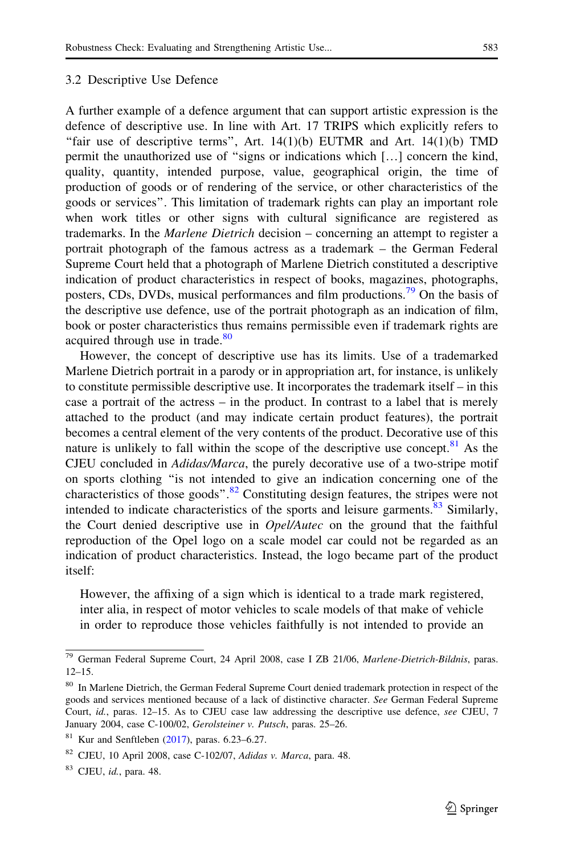#### 3.2 Descriptive Use Defence

A further example of a defence argument that can support artistic expression is the defence of descriptive use. In line with Art. 17 TRIPS which explicitly refers to "fair use of descriptive terms", Art.  $14(1)(b)$  EUTMR and Art.  $14(1)(b)$  TMD permit the unauthorized use of ''signs or indications which […] concern the kind, quality, quantity, intended purpose, value, geographical origin, the time of production of goods or of rendering of the service, or other characteristics of the goods or services''. This limitation of trademark rights can play an important role when work titles or other signs with cultural significance are registered as trademarks. In the *Marlene Dietrich* decision – concerning an attempt to register a portrait photograph of the famous actress as a trademark – the German Federal Supreme Court held that a photograph of Marlene Dietrich constituted a descriptive indication of product characteristics in respect of books, magazines, photographs, posters, CDs, DVDs, musical performances and film productions.<sup>79</sup> On the basis of the descriptive use defence, use of the portrait photograph as an indication of film, book or poster characteristics thus remains permissible even if trademark rights are acquired through use in trade.<sup>80</sup>

However, the concept of descriptive use has its limits. Use of a trademarked Marlene Dietrich portrait in a parody or in appropriation art, for instance, is unlikely to constitute permissible descriptive use. It incorporates the trademark itself – in this case a portrait of the actress – in the product. In contrast to a label that is merely attached to the product (and may indicate certain product features), the portrait becomes a central element of the very contents of the product. Decorative use of this nature is unlikely to fall within the scope of the descriptive use concept.  $81$  As the CJEU concluded in Adidas/Marca, the purely decorative use of a two-stripe motif on sports clothing ''is not intended to give an indication concerning one of the characteristics of those goods". $82$  Constituting design features, the stripes were not intended to indicate characteristics of the sports and leisure garments. $83$  Similarly, the Court denied descriptive use in *Opel/Autec* on the ground that the faithful reproduction of the Opel logo on a scale model car could not be regarded as an indication of product characteristics. Instead, the logo became part of the product itself:

However, the affixing of a sign which is identical to a trade mark registered, inter alia, in respect of motor vehicles to scale models of that make of vehicle in order to reproduce those vehicles faithfully is not intended to provide an

<sup>&</sup>lt;sup>79</sup> German Federal Supreme Court, 24 April 2008, case I ZB 21/06, Marlene-Dietrich-Bildnis, paras. 12–15.

<sup>&</sup>lt;sup>80</sup> In Marlene Dietrich, the German Federal Supreme Court denied trademark protection in respect of the goods and services mentioned because of a lack of distinctive character. See German Federal Supreme Court, id., paras. 12–15. As to CJEU case law addressing the descriptive use defence, see CJEU, 7 January 2004, case C-100/02, Gerolsteiner v. Putsch, paras. 25–26.

 $81$  Kur and Senftleben ([2017](#page-36-0)), paras. 6.23-6.27.

 $82$  CJEU, 10 April 2008, case C-102/07, Adidas v. Marca, para. 48.

 $83$  CJEU, *id.*, para. 48.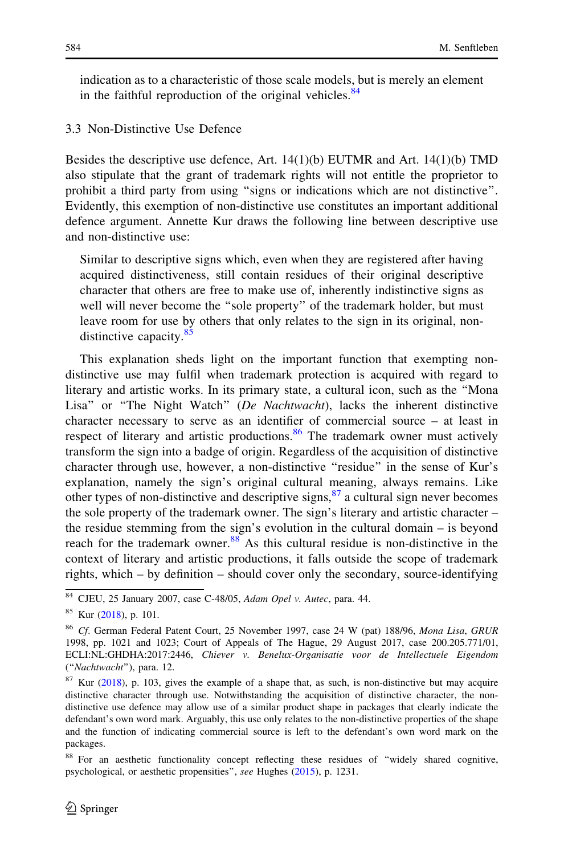indication as to a characteristic of those scale models, but is merely an element in the faithful reproduction of the original vehicles. $84$ 

#### 3.3 Non-Distinctive Use Defence

Besides the descriptive use defence, Art. 14(1)(b) EUTMR and Art. 14(1)(b) TMD also stipulate that the grant of trademark rights will not entitle the proprietor to prohibit a third party from using ''signs or indications which are not distinctive''. Evidently, this exemption of non-distinctive use constitutes an important additional defence argument. Annette Kur draws the following line between descriptive use and non-distinctive use:

Similar to descriptive signs which, even when they are registered after having acquired distinctiveness, still contain residues of their original descriptive character that others are free to make use of, inherently indistinctive signs as well will never become the "sole property" of the trademark holder, but must leave room for use by others that only relates to the sign in its original, nondistinctive capacity.<sup>85</sup>

This explanation sheds light on the important function that exempting nondistinctive use may fulfil when trademark protection is acquired with regard to literary and artistic works. In its primary state, a cultural icon, such as the ''Mona Lisa" or "The Night Watch" (De Nachtwacht), lacks the inherent distinctive character necessary to serve as an identifier of commercial source – at least in respect of literary and artistic productions. $86$  The trademark owner must actively transform the sign into a badge of origin. Regardless of the acquisition of distinctive character through use, however, a non-distinctive ''residue'' in the sense of Kur's explanation, namely the sign's original cultural meaning, always remains. Like other types of non-distinctive and descriptive signs,  $\frac{87}{2}$  a cultural sign never becomes the sole property of the trademark owner. The sign's literary and artistic character – the residue stemming from the sign's evolution in the cultural domain – is beyond reach for the trademark owner. $88$  As this cultural residue is non-distinctive in the context of literary and artistic productions, it falls outside the scope of trademark rights, which – by definition – should cover only the secondary, source-identifying

<sup>84</sup> CJEU, 25 January 2007, case C-48/05, Adam Opel v. Autec, para. 44.

<sup>85</sup> Kur ([2018\)](#page-36-0), p. 101.

<sup>&</sup>lt;sup>86</sup> Cf. German Federal Patent Court, 25 November 1997, case 24 W (pat) 188/96, Mona Lisa, GRUR 1998, pp. 1021 and 1023; Court of Appeals of The Hague, 29 August 2017, case 200.205.771/01, ECLI:NL:GHDHA:2017:2446, Chiever v. Benelux-Organisatie voor de Intellectuele Eigendom (''Nachtwacht''), para. 12.

 $87$  Kur [\(2018\)](#page-36-0), p. 103, gives the example of a shape that, as such, is non-distinctive but may acquire distinctive character through use. Notwithstanding the acquisition of distinctive character, the nondistinctive use defence may allow use of a similar product shape in packages that clearly indicate the defendant's own word mark. Arguably, this use only relates to the non-distinctive properties of the shape and the function of indicating commercial source is left to the defendant's own word mark on the packages.

<sup>88</sup> For an aesthetic functionality concept reflecting these residues of ''widely shared cognitive, psychological, or aesthetic propensities'', see Hughes ([2015\)](#page-36-0), p. 1231.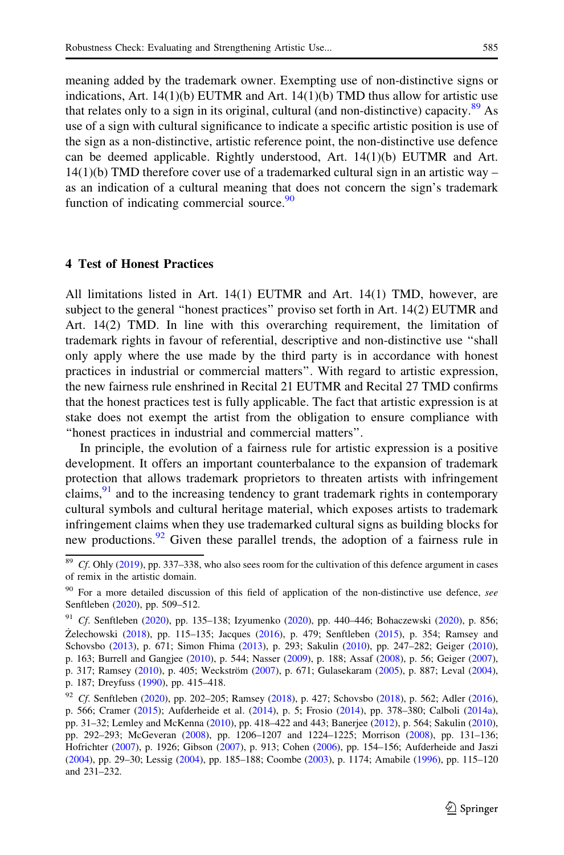meaning added by the trademark owner. Exempting use of non-distinctive signs or indications, Art.  $14(1)(b)$  EUTMR and Art.  $14(1)(b)$  TMD thus allow for artistic use that relates only to a sign in its original, cultural (and non-distinctive) capacity.<sup>89</sup> As use of a sign with cultural significance to indicate a specific artistic position is use of the sign as a non-distinctive, artistic reference point, the non-distinctive use defence can be deemed applicable. Rightly understood, Art.  $14(1)(b)$  EUTMR and Art.

 $14(1)(b)$  TMD therefore cover use of a trademarked cultural sign in an artistic way – as an indication of a cultural meaning that does not concern the sign's trademark function of indicating commercial source. $90$ 

#### 4 Test of Honest Practices

All limitations listed in Art. 14(1) EUTMR and Art. 14(1) TMD, however, are subject to the general ''honest practices'' proviso set forth in Art. 14(2) EUTMR and Art. 14(2) TMD. In line with this overarching requirement, the limitation of trademark rights in favour of referential, descriptive and non-distinctive use ''shall only apply where the use made by the third party is in accordance with honest practices in industrial or commercial matters''. With regard to artistic expression, the new fairness rule enshrined in Recital 21 EUTMR and Recital 27 TMD confirms that the honest practices test is fully applicable. The fact that artistic expression is at stake does not exempt the artist from the obligation to ensure compliance with ''honest practices in industrial and commercial matters''.

In principle, the evolution of a fairness rule for artistic expression is a positive development. It offers an important counterbalance to the expansion of trademark protection that allows trademark proprietors to threaten artists with infringement claims, $91$  and to the increasing tendency to grant trademark rights in contemporary cultural symbols and cultural heritage material, which exposes artists to trademark infringement claims when they use trademarked cultural signs as building blocks for new productions.<sup>92</sup> Given these parallel trends, the adoption of a fairness rule in

<sup>&</sup>lt;sup>89</sup> Cf. Ohly ([2019\)](#page-36-0), pp. 337–338, who also sees room for the cultivation of this defence argument in cases of remix in the artistic domain.

 $90$  For a more detailed discussion of this field of application of the non-distinctive use defence, see Senftleben [\(2020](#page-37-0)), pp. 509–512.

<sup>&</sup>lt;sup>91</sup> Cf. Senftleben [\(2020](#page-36-0)), pp. 135-138; Izyumenko ([2020\)](#page-34-0), pp. 440-446; Bohaczewski (2020), p. 856; Zelechowski ([2018](#page-37-0)), pp. 115-135; Jacques ([2016\)](#page-36-0), p. 479; Senftleben ([2015\)](#page-37-0), p. 354; Ramsey and Schovsbo ([2013\)](#page-37-0), p. 671; Simon Fhima ([2013\)](#page-37-0), p. 293; Sakulin ([2010\)](#page-37-0), pp. 247–282; Geiger ([2010\)](#page-35-0), p. 163; Burrell and Gangjee [\(2010\)](#page-34-0), p. 544; Nasser ([2009\)](#page-36-0), p. 188; Assaf ([2008\)](#page-34-0), p. 56; Geiger ([2007\)](#page-35-0), p. 317; Ramsey ([2010\)](#page-37-0), p. 405; Weckström ([2007\)](#page-37-0), p. 671; Gulasekaram [\(2005](#page-36-0)), p. 887; Leval ([2004\)](#page-36-0), p. 187; Dreyfuss [\(1990](#page-35-0)), pp. 415–418.

<sup>&</sup>lt;sup>92</sup> Cf. Senftleben [\(2020](#page-37-0)), pp. 202-205; Ramsey ([2018](#page-37-0)), p. 427; Schovsbo [\(2018\)](#page-37-0), p. 562; Adler ([2016\)](#page-34-0), p. 566; Cramer [\(2015](#page-35-0)); Aufderheide et al. ([2014\)](#page-34-0), p. 5; Frosio ([2014\)](#page-35-0), pp. 378–380; Calboli [\(2014a\)](#page-35-0), pp. 31–32; Lemley and McKenna ([2010\)](#page-36-0), pp. 418–422 and 443; Banerjee ([2012\)](#page-34-0), p. 564; Sakulin ([2010\)](#page-37-0), pp. 292–293; McGeveran ([2008](#page-36-0)), pp. 1206–1207 and 1224–1225; Morrison [\(2008\)](#page-36-0), pp. 131–136; Hofrichter ([2007\)](#page-36-0), p. 1926; Gibson [\(2007](#page-35-0)), p. 913; Cohen ([2006\)](#page-35-0), pp. 154–156; Aufderheide and Jaszi ([2004\)](#page-34-0), pp. 29–30; Lessig ([2004\)](#page-36-0), pp. 185–188; Coombe [\(2003](#page-35-0)), p. 1174; Amabile [\(1996\)](#page-34-0), pp. 115–120 and 231–232.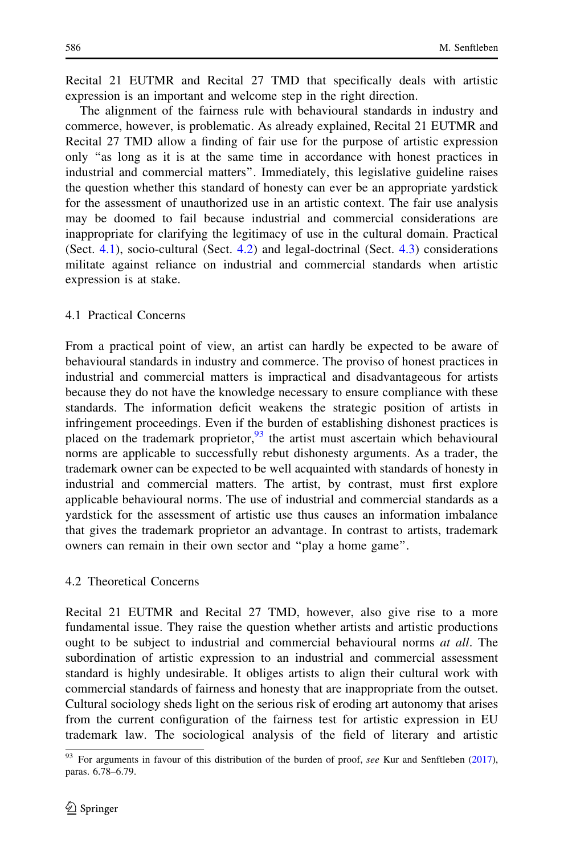<span id="page-20-0"></span>Recital 21 EUTMR and Recital 27 TMD that specifically deals with artistic expression is an important and welcome step in the right direction.

The alignment of the fairness rule with behavioural standards in industry and commerce, however, is problematic. As already explained, Recital 21 EUTMR and Recital 27 TMD allow a finding of fair use for the purpose of artistic expression only ''as long as it is at the same time in accordance with honest practices in industrial and commercial matters''. Immediately, this legislative guideline raises the question whether this standard of honesty can ever be an appropriate yardstick for the assessment of unauthorized use in an artistic context. The fair use analysis may be doomed to fail because industrial and commercial considerations are inappropriate for clarifying the legitimacy of use in the cultural domain. Practical (Sect. [4.1](#page-24-0)), socio-cultural (Sect. [4.2](#page-25-0)) and legal-doctrinal (Sect. [4.3\)](#page-26-0) considerations militate against reliance on industrial and commercial standards when artistic expression is at stake.

#### 4.1 Practical Concerns

From a practical point of view, an artist can hardly be expected to be aware of behavioural standards in industry and commerce. The proviso of honest practices in industrial and commercial matters is impractical and disadvantageous for artists because they do not have the knowledge necessary to ensure compliance with these standards. The information deficit weakens the strategic position of artists in infringement proceedings. Even if the burden of establishing dishonest practices is placed on the trademark proprietor,  $93$  the artist must ascertain which behavioural norms are applicable to successfully rebut dishonesty arguments. As a trader, the trademark owner can be expected to be well acquainted with standards of honesty in industrial and commercial matters. The artist, by contrast, must first explore applicable behavioural norms. The use of industrial and commercial standards as a yardstick for the assessment of artistic use thus causes an information imbalance that gives the trademark proprietor an advantage. In contrast to artists, trademark owners can remain in their own sector and ''play a home game''.

#### 4.2 Theoretical Concerns

Recital 21 EUTMR and Recital 27 TMD, however, also give rise to a more fundamental issue. They raise the question whether artists and artistic productions ought to be subject to industrial and commercial behavioural norms at all. The subordination of artistic expression to an industrial and commercial assessment standard is highly undesirable. It obliges artists to align their cultural work with commercial standards of fairness and honesty that are inappropriate from the outset. Cultural sociology sheds light on the serious risk of eroding art autonomy that arises from the current configuration of the fairness test for artistic expression in EU trademark law. The sociological analysis of the field of literary and artistic

 $\frac{93}{93}$  For arguments in favour of this distribution of the burden of proof, see Kur and Senftleben ([2017\)](#page-36-0), paras. 6.78–6.79.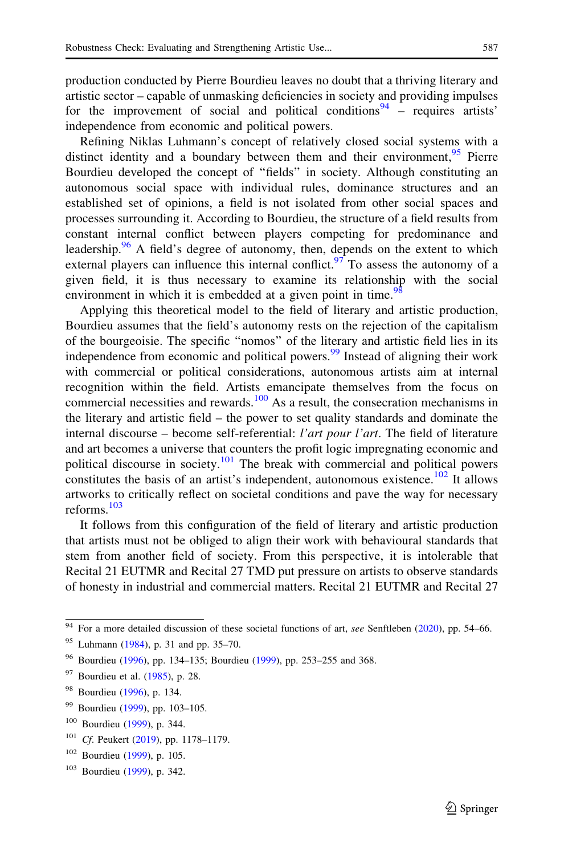production conducted by Pierre Bourdieu leaves no doubt that a thriving literary and artistic sector – capable of unmasking deficiencies in society and providing impulses for the improvement of social and political conditions<sup>94</sup> – requires artists' independence from economic and political powers.

Refining Niklas Luhmann's concept of relatively closed social systems with a distinct identity and a boundary between them and their environment,  $95$  Pierre Bourdieu developed the concept of ''fields'' in society. Although constituting an autonomous social space with individual rules, dominance structures and an established set of opinions, a field is not isolated from other social spaces and processes surrounding it. According to Bourdieu, the structure of a field results from constant internal conflict between players competing for predominance and leadership.<sup>96</sup> A field's degree of autonomy, then, depends on the extent to which external players can influence this internal conflict.<sup>97</sup> To assess the autonomy of a given field, it is thus necessary to examine its relationship with the social environment in which it is embedded at a given point in time.<sup>98</sup>

Applying this theoretical model to the field of literary and artistic production, Bourdieu assumes that the field's autonomy rests on the rejection of the capitalism of the bourgeoisie. The specific ''nomos'' of the literary and artistic field lies in its independence from economic and political powers.<sup>99</sup> Instead of aligning their work with commercial or political considerations, autonomous artists aim at internal recognition within the field. Artists emancipate themselves from the focus on commercial necessities and rewards. $100$  As a result, the consecration mechanisms in the literary and artistic field – the power to set quality standards and dominate the internal discourse – become self-referential: l'art pour l'art. The field of literature and art becomes a universe that counters the profit logic impregnating economic and political discourse in society.<sup>101</sup> The break with commercial and political powers constitutes the basis of an artist's independent, autonomous existence.<sup>102</sup> It allows artworks to critically reflect on societal conditions and pave the way for necessary reforms.<sup>103</sup>

It follows from this configuration of the field of literary and artistic production that artists must not be obliged to align their work with behavioural standards that stem from another field of society. From this perspective, it is intolerable that Recital 21 EUTMR and Recital 27 TMD put pressure on artists to observe standards of honesty in industrial and commercial matters. Recital 21 EUTMR and Recital 27

 $94$  For a more detailed discussion of these societal functions of art, see Senftleben ([2020\)](#page-37-0), pp. 54–66.

<sup>95</sup> Luhmann ([1984\)](#page-36-0), p. 31 and pp. 35–70.

<sup>96</sup> Bourdieu ([1996\)](#page-34-0), pp. 134–135; Bourdieu [\(1999](#page-34-0)), pp. 253–255 and 368.

<sup>97</sup> Bourdieu et al. ([1985\)](#page-34-0), p. 28.

<sup>&</sup>lt;sup>98</sup> Bourdieu ([1996\)](#page-34-0), p. 134.

<sup>99</sup> Bourdieu ([1999\)](#page-34-0), pp. 103–105.

<sup>100</sup> Bourdieu ([1999\)](#page-34-0), p. 344.

<sup>&</sup>lt;sup>101</sup> Cf. Peukert ([2019\)](#page-36-0), pp. 1178-1179.

<sup>102</sup> Bourdieu ([1999\)](#page-34-0), p. 105.

<sup>103</sup> Bourdieu ([1999\)](#page-34-0), p. 342.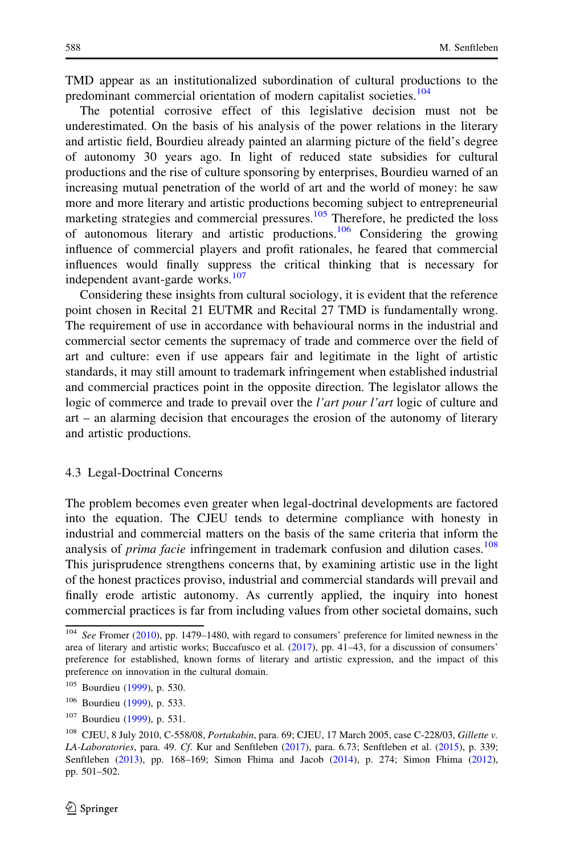<span id="page-22-0"></span>TMD appear as an institutionalized subordination of cultural productions to the predominant commercial orientation of modern capitalist societies.<sup>104</sup>

The potential corrosive effect of this legislative decision must not be underestimated. On the basis of his analysis of the power relations in the literary and artistic field, Bourdieu already painted an alarming picture of the field's degree of autonomy 30 years ago. In light of reduced state subsidies for cultural productions and the rise of culture sponsoring by enterprises, Bourdieu warned of an increasing mutual penetration of the world of art and the world of money: he saw more and more literary and artistic productions becoming subject to entrepreneurial marketing strategies and commercial pressures.<sup>105</sup> Therefore, he predicted the loss of autonomous literary and artistic productions.<sup>106</sup> Considering the growing influence of commercial players and profit rationales, he feared that commercial influences would finally suppress the critical thinking that is necessary for independent avant-garde works.<sup>107</sup>

Considering these insights from cultural sociology, it is evident that the reference point chosen in Recital 21 EUTMR and Recital 27 TMD is fundamentally wrong. The requirement of use in accordance with behavioural norms in the industrial and commercial sector cements the supremacy of trade and commerce over the field of art and culture: even if use appears fair and legitimate in the light of artistic standards, it may still amount to trademark infringement when established industrial and commercial practices point in the opposite direction. The legislator allows the logic of commerce and trade to prevail over the *l'art pour l'art* logic of culture and art – an alarming decision that encourages the erosion of the autonomy of literary and artistic productions.

#### 4.3 Legal-Doctrinal Concerns

The problem becomes even greater when legal-doctrinal developments are factored into the equation. The CJEU tends to determine compliance with honesty in industrial and commercial matters on the basis of the same criteria that inform the analysis of *prima facie* infringement in trademark confusion and dilution cases.<sup>108</sup> This jurisprudence strengthens concerns that, by examining artistic use in the light of the honest practices proviso, industrial and commercial standards will prevail and finally erode artistic autonomy. As currently applied, the inquiry into honest commercial practices is far from including values from other societal domains, such

<sup>&</sup>lt;sup>104</sup> See Fromer ([2010\)](#page-35-0), pp. 1479–1480, with regard to consumers' preference for limited newness in the area of literary and artistic works; Buccafusco et al. [\(2017](#page-34-0)), pp. 41–43, for a discussion of consumers' preference for established, known forms of literary and artistic expression, and the impact of this preference on innovation in the cultural domain.

<sup>105</sup> Bourdieu ([1999\)](#page-34-0), p. 530.

<sup>106</sup> Bourdieu ([1999\)](#page-34-0), p. 533.

<sup>107</sup> Bourdieu ([1999\)](#page-34-0), p. 531.

<sup>&</sup>lt;sup>108</sup> CJEU, 8 July 2010, C-558/08, *Portakabin*, para. 69; CJEU, 17 March 2005, case C-228/03, Gillette v. LA-Laboratories, para. 49. Cf. Kur and Senftleben [\(2017](#page-36-0)), para. 6.73; Senftleben et al. [\(2015\)](#page-37-0), p. 339; Senftleben ([2013](#page-37-0)), pp. 168–169; Simon Fhima and Jacob ([2014\)](#page-37-0), p. 274; Simon Fhima ([2012\)](#page-37-0), pp. 501–502.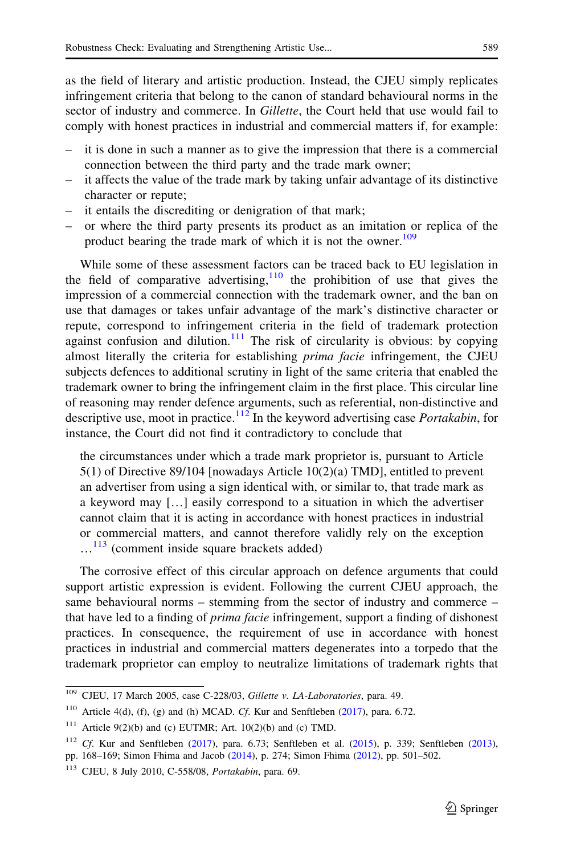as the field of literary and artistic production. Instead, the CJEU simply replicates infringement criteria that belong to the canon of standard behavioural norms in the sector of industry and commerce. In *Gillette*, the Court held that use would fail to comply with honest practices in industrial and commercial matters if, for example:

- it is done in such a manner as to give the impression that there is a commercial connection between the third party and the trade mark owner;
- it affects the value of the trade mark by taking unfair advantage of its distinctive character or repute;
- it entails the discrediting or denigration of that mark;
- or where the third party presents its product as an imitation or replica of the product bearing the trade mark of which it is not the owner.<sup>109</sup>

While some of these assessment factors can be traced back to EU legislation in the field of comparative advertising,  $\frac{110}{10}$  the prohibition of use that gives the impression of a commercial connection with the trademark owner, and the ban on use that damages or takes unfair advantage of the mark's distinctive character or repute, correspond to infringement criteria in the field of trademark protection against confusion and dilution.<sup>111</sup> The risk of circularity is obvious: by copying almost literally the criteria for establishing *prima facie* infringement, the CJEU subjects defences to additional scrutiny in light of the same criteria that enabled the trademark owner to bring the infringement claim in the first place. This circular line of reasoning may render defence arguments, such as referential, non-distinctive and descriptive use, moot in practice.<sup>112</sup> In the keyword advertising case *Portakabin*, for instance, the Court did not find it contradictory to conclude that

the circumstances under which a trade mark proprietor is, pursuant to Article 5(1) of Directive 89/104 [nowadays Article 10(2)(a) TMD], entitled to prevent an advertiser from using a sign identical with, or similar to, that trade mark as a keyword may […] easily correspond to a situation in which the advertiser cannot claim that it is acting in accordance with honest practices in industrial or commercial matters, and cannot therefore validly rely on the exception  $\dots$ <sup>113</sup> (comment inside square brackets added)

The corrosive effect of this circular approach on defence arguments that could support artistic expression is evident. Following the current CJEU approach, the same behavioural norms – stemming from the sector of industry and commerce – that have led to a finding of prima facie infringement, support a finding of dishonest practices. In consequence, the requirement of use in accordance with honest practices in industrial and commercial matters degenerates into a torpedo that the trademark proprietor can employ to neutralize limitations of trademark rights that

<sup>&</sup>lt;sup>109</sup> CJEU, 17 March 2005, case C-228/03, Gillette v. LA-Laboratories, para. 49.

<sup>&</sup>lt;sup>110</sup> Article 4(d), (f), (g) and (h) MCAD. Cf. Kur and Senftleben [\(2017](#page-36-0)), para. 6.72.

<sup>&</sup>lt;sup>111</sup> Article 9(2)(b) and (c) EUTMR; Art.  $10(2)(b)$  and (c) TMD.

<sup>&</sup>lt;sup>112</sup> Cf. Kur and Senftleben [\(2017](#page-36-0)), para. 6.73; Senftleben et al. [\(2015](#page-37-0)), p. 339; Senftleben ([2013\)](#page-37-0), pp. 168–169; Simon Fhima and Jacob [\(2014](#page-37-0)), p. 274; Simon Fhima [\(2012](#page-37-0)), pp. 501–502.

<sup>113</sup> CJEU, 8 July 2010, C-558/08, Portakabin, para. 69.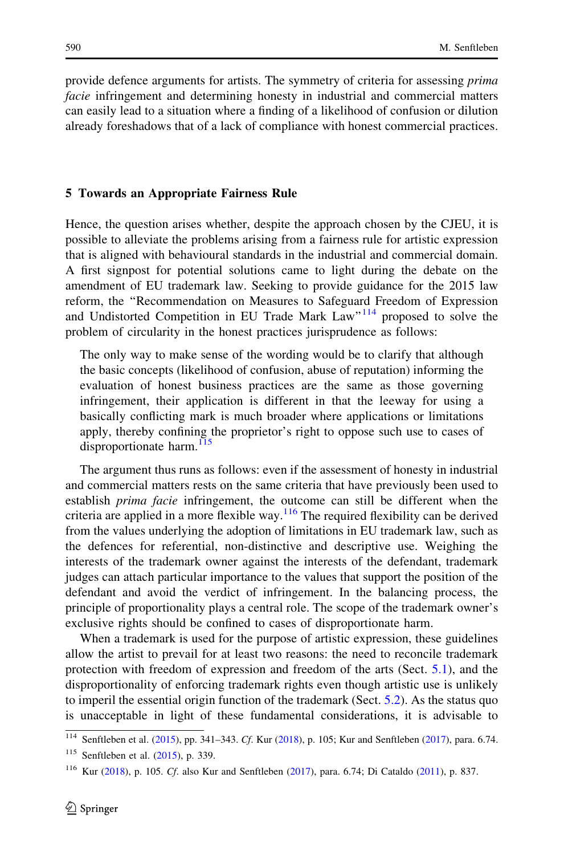<span id="page-24-0"></span>provide defence arguments for artists. The symmetry of criteria for assessing prima facie infringement and determining honesty in industrial and commercial matters can easily lead to a situation where a finding of a likelihood of confusion or dilution already foreshadows that of a lack of compliance with honest commercial practices.

#### 5 Towards an Appropriate Fairness Rule

Hence, the question arises whether, despite the approach chosen by the CJEU, it is possible to alleviate the problems arising from a fairness rule for artistic expression that is aligned with behavioural standards in the industrial and commercial domain. A first signpost for potential solutions came to light during the debate on the amendment of EU trademark law. Seeking to provide guidance for the 2015 law reform, the ''Recommendation on Measures to Safeguard Freedom of Expression and Undistorted Competition in EU Trade Mark Law"<sup>114</sup> proposed to solve the problem of circularity in the honest practices jurisprudence as follows:

The only way to make sense of the wording would be to clarify that although the basic concepts (likelihood of confusion, abuse of reputation) informing the evaluation of honest business practices are the same as those governing infringement, their application is different in that the leeway for using a basically conflicting mark is much broader where applications or limitations apply, thereby confining the proprietor's right to oppose such use to cases of disproportionate harm.<sup>115</sup>

The argument thus runs as follows: even if the assessment of honesty in industrial and commercial matters rests on the same criteria that have previously been used to establish prima facie infringement, the outcome can still be different when the criteria are applied in a more flexible way.<sup>116</sup> The required flexibility can be derived from the values underlying the adoption of limitations in EU trademark law, such as the defences for referential, non-distinctive and descriptive use. Weighing the interests of the trademark owner against the interests of the defendant, trademark judges can attach particular importance to the values that support the position of the defendant and avoid the verdict of infringement. In the balancing process, the principle of proportionality plays a central role. The scope of the trademark owner's exclusive rights should be confined to cases of disproportionate harm.

When a trademark is used for the purpose of artistic expression, these guidelines allow the artist to prevail for at least two reasons: the need to reconcile trademark protection with freedom of expression and freedom of the arts (Sect. [5.1](#page-29-0)), and the disproportionality of enforcing trademark rights even though artistic use is unlikely to imperil the essential origin function of the trademark (Sect. [5.2](#page-30-0)). As the status quo is unacceptable in light of these fundamental considerations, it is advisable to

<sup>114</sup> Senftleben et al. [\(2015\)](#page-37-0), pp. 341–343. Cf. Kur [\(2018\)](#page-36-0), p. 105; Kur and Senftleben ([2017\)](#page-36-0), para. 6.74.

<sup>115</sup> Senftleben et al. [\(2015](#page-37-0)), p. 339.

<sup>116</sup> Kur ([2018](#page-36-0)), p. 105. Cf. also Kur and Senftleben [\(2017](#page-36-0)), para. 6.74; Di Cataldo [\(2011](#page-35-0)), p. 837.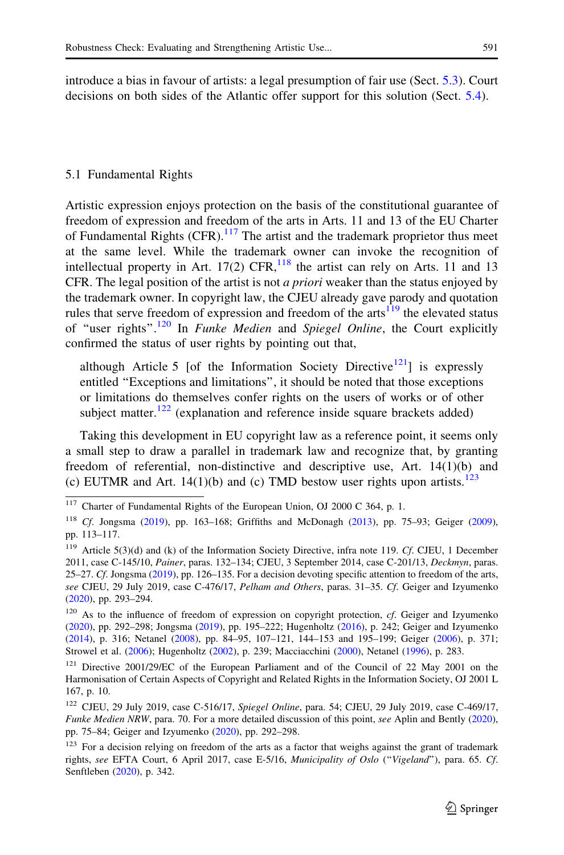<span id="page-25-0"></span>introduce a bias in favour of artists: a legal presumption of fair use (Sect. [5.3](#page-32-0)). Court decisions on both sides of the Atlantic offer support for this solution (Sect. [5.4](#page-33-0)).

#### 5.1 Fundamental Rights

Artistic expression enjoys protection on the basis of the constitutional guarantee of freedom of expression and freedom of the arts in Arts. 11 and 13 of the EU Charter of Fundamental Rights  $(CFR)$ .<sup>117</sup> The artist and the trademark proprietor thus meet at the same level. While the trademark owner can invoke the recognition of intellectual property in Art. 17(2) CFR,  $^{118}$  the artist can rely on Arts. 11 and 13 CFR. The legal position of the artist is not *a priori* weaker than the status enjoyed by the trademark owner. In copyright law, the CJEU already gave parody and quotation rules that serve freedom of expression and freedom of the arts $119$  the elevated status of "user rights".<sup>120</sup> In *Funke Medien* and *Spiegel Online*, the Court explicitly confirmed the status of user rights by pointing out that,

although Article 5 [of the Information Society Directive<sup>121</sup>] is expressly entitled ''Exceptions and limitations'', it should be noted that those exceptions or limitations do themselves confer rights on the users of works or of other subject matter.<sup>122</sup> (explanation and reference inside square brackets added)

Taking this development in EU copyright law as a reference point, it seems only a small step to draw a parallel in trademark law and recognize that, by granting freedom of referential, non-distinctive and descriptive use, Art. 14(1)(b) and (c) EUTMR and Art.  $14(1)(b)$  and (c) TMD bestow user rights upon artists.<sup>123</sup>

<sup>&</sup>lt;sup>117</sup> Charter of Fundamental Rights of the European Union, OJ 2000 C 364, p. 1.

<sup>&</sup>lt;sup>118</sup> Cf. Jongsma [\(2019](#page-36-0)), pp. 163–168; Griffiths and McDonagh [\(2013](#page-36-0)), pp. 75–93; Geiger ([2009\)](#page-35-0), pp. 113–117.

<sup>&</sup>lt;sup>119</sup> Article 5(3)(d) and (k) of the Information Society Directive, infra note 119. Cf. CJEU, 1 December 2011, case C-145/10, Painer, paras. 132–134; CJEU, 3 September 2014, case C-201/13, Deckmyn, paras. 25–27. Cf. Jongsma ([2019\)](#page-36-0), pp. 126–135. For a decision devoting specific attention to freedom of the arts, see CJEU, 29 July 2019, case C-476/17, Pelham and Others, paras. 31–35. Cf. Geiger and Izyumenko ([2020\)](#page-35-0), pp. 293–294.

 $120$  As to the influence of freedom of expression on copyright protection, cf. Geiger and Izyumenko ([2020\)](#page-35-0), pp. 292–298; Jongsma [\(2019\)](#page-36-0), pp. 195–222; Hugenholtz ([2016\)](#page-36-0), p. 242; Geiger and Izyumenko ([2014\)](#page-35-0), p. 316; Netanel [\(2008\)](#page-36-0), pp. 84–95, 107–121, 144–153 and 195–199; Geiger ([2006](#page-35-0)), p. 371; Strowel et al. ([2006\)](#page-37-0); Hugenholtz ([2002\)](#page-36-0), p. 239; Macciacchini ([2000\)](#page-36-0), Netanel [\(1996](#page-36-0)), p. 283.

<sup>&</sup>lt;sup>121</sup> Directive 2001/29/EC of the European Parliament and of the Council of 22 May 2001 on the Harmonisation of Certain Aspects of Copyright and Related Rights in the Information Society, OJ 2001 L 167, p. 10.

<sup>122</sup> CJEU, 29 July 2019, case C-516/17, Spiegel Online, para. 54; CJEU, 29 July 2019, case C-469/17, Funke Medien NRW, para. 70. For a more detailed discussion of this point, see Aplin and Bently ([2020\)](#page-34-0), pp. 75–84; Geiger and Izyumenko [\(2020\)](#page-35-0), pp. 292–298.

<sup>&</sup>lt;sup>123</sup> For a decision relying on freedom of the arts as a factor that weighs against the grant of trademark rights, see EFTA Court, 6 April 2017, case E-5/16, Municipality of Oslo (''Vigeland''), para. 65. Cf. Senftleben [\(2020](#page-37-0)), p. 342.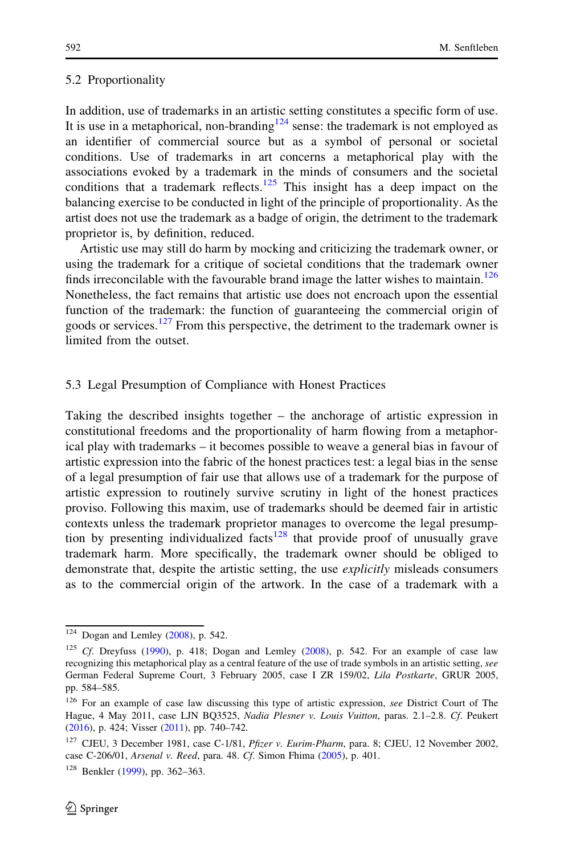#### <span id="page-26-0"></span>5.2 Proportionality

In addition, use of trademarks in an artistic setting constitutes a specific form of use. It is use in a metaphorical, non-branding<sup>124</sup> sense: the trademark is not employed as an identifier of commercial source but as a symbol of personal or societal conditions. Use of trademarks in art concerns a metaphorical play with the associations evoked by a trademark in the minds of consumers and the societal conditions that a trademark reflects.<sup>125</sup> This insight has a deep impact on the balancing exercise to be conducted in light of the principle of proportionality. As the artist does not use the trademark as a badge of origin, the detriment to the trademark proprietor is, by definition, reduced.

Artistic use may still do harm by mocking and criticizing the trademark owner, or using the trademark for a critique of societal conditions that the trademark owner finds irreconcilable with the favourable brand image the latter wishes to maintain.<sup>126</sup> Nonetheless, the fact remains that artistic use does not encroach upon the essential function of the trademark: the function of guaranteeing the commercial origin of goods or services.<sup>127</sup> From this perspective, the detriment to the trademark owner is limited from the outset.

#### 5.3 Legal Presumption of Compliance with Honest Practices

Taking the described insights together – the anchorage of artistic expression in constitutional freedoms and the proportionality of harm flowing from a metaphorical play with trademarks – it becomes possible to weave a general bias in favour of artistic expression into the fabric of the honest practices test: a legal bias in the sense of a legal presumption of fair use that allows use of a trademark for the purpose of artistic expression to routinely survive scrutiny in light of the honest practices proviso. Following this maxim, use of trademarks should be deemed fair in artistic contexts unless the trademark proprietor manages to overcome the legal presumption by presenting individualized facts<sup>128</sup> that provide proof of unusually grave trademark harm. More specifically, the trademark owner should be obliged to demonstrate that, despite the artistic setting, the use *explicitly* misleads consumers as to the commercial origin of the artwork. In the case of a trademark with a

 $124$  Dogan and Lemley ([2008\)](#page-35-0), p. 542.

<sup>&</sup>lt;sup>125</sup> Cf. Dreyfuss ([1990\)](#page-35-0), p. 418; Dogan and Lemley ([2008\)](#page-35-0), p. 542. For an example of case law recognizing this metaphorical play as a central feature of the use of trade symbols in an artistic setting, see German Federal Supreme Court, 3 February 2005, case I ZR 159/02, Lila Postkarte, GRUR 2005, pp. 584–585.

<sup>&</sup>lt;sup>126</sup> For an example of case law discussing this type of artistic expression, see District Court of The Hague, 4 May 2011, case LJN BQ3525, Nadia Plesner v. Louis Vuitton, paras. 2.1-2.8. Cf. Peukert ([2016\)](#page-37-0), p. 424; Visser ([2011\)](#page-37-0), pp. 740–742.

<sup>&</sup>lt;sup>127</sup> CJEU, 3 December 1981, case C-1/81, Pfizer v. Eurim-Pharm, para. 8; CJEU, 12 November 2002, case C-206/01, Arsenal v. Reed, para. 48. Cf. Simon Fhima ([2005\)](#page-37-0), p. 401.

<sup>128</sup> Benkler ([1999](#page-34-0)), pp. 362–363.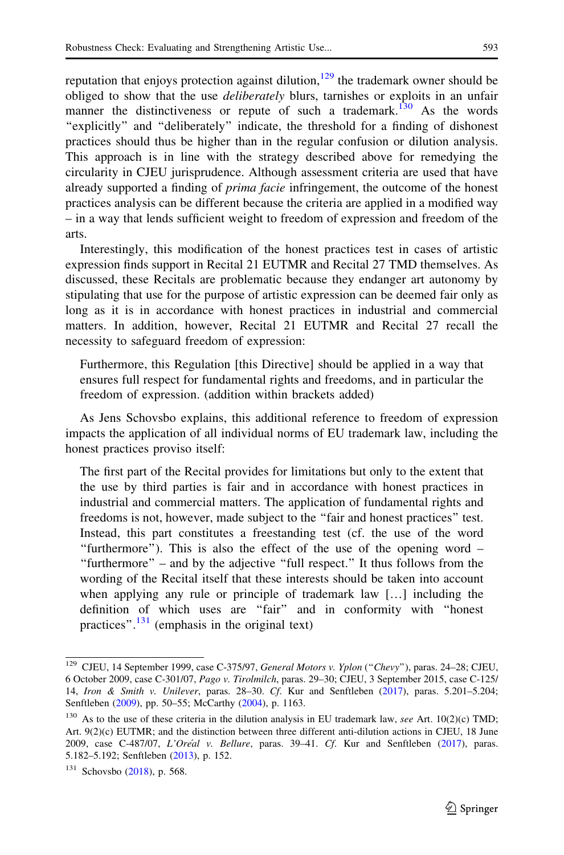reputation that enjoys protection against dilution,  $129$  the trademark owner should be obliged to show that the use *deliberately* blurs, tarnishes or exploits in an unfair manner the distinctiveness or repute of such a trademark.<sup>130</sup> As the words ''explicitly'' and ''deliberately'' indicate, the threshold for a finding of dishonest practices should thus be higher than in the regular confusion or dilution analysis. This approach is in line with the strategy described above for remedying the circularity in CJEU jurisprudence. Although assessment criteria are used that have already supported a finding of *prima facie* infringement, the outcome of the honest practices analysis can be different because the criteria are applied in a modified way – in a way that lends sufficient weight to freedom of expression and freedom of the arts.

Interestingly, this modification of the honest practices test in cases of artistic expression finds support in Recital 21 EUTMR and Recital 27 TMD themselves. As discussed, these Recitals are problematic because they endanger art autonomy by stipulating that use for the purpose of artistic expression can be deemed fair only as long as it is in accordance with honest practices in industrial and commercial matters. In addition, however, Recital 21 EUTMR and Recital 27 recall the necessity to safeguard freedom of expression:

Furthermore, this Regulation [this Directive] should be applied in a way that ensures full respect for fundamental rights and freedoms, and in particular the freedom of expression. (addition within brackets added)

As Jens Schovsbo explains, this additional reference to freedom of expression impacts the application of all individual norms of EU trademark law, including the honest practices proviso itself:

The first part of the Recital provides for limitations but only to the extent that the use by third parties is fair and in accordance with honest practices in industrial and commercial matters. The application of fundamental rights and freedoms is not, however, made subject to the ''fair and honest practices'' test. Instead, this part constitutes a freestanding test (cf. the use of the word ''furthermore''). This is also the effect of the use of the opening word – ''furthermore'' – and by the adjective ''full respect.'' It thus follows from the wording of the Recital itself that these interests should be taken into account when applying any rule or principle of trademark law […] including the definition of which uses are ''fair'' and in conformity with ''honest practices". $\frac{131}{2}$  (emphasis in the original text)

<sup>&</sup>lt;sup>129</sup> CJEU, 14 September 1999, case C-375/97, General Motors v. Yplon ("Chevy"), paras. 24-28; CJEU, 6 October 2009, case C-301/07, Pago v. Tirolmilch, paras. 29–30; CJEU, 3 September 2015, case C-125/ 14, Iron & Smith v. Unilever, paras. 28–30. Cf. Kur and Senftleben [\(2017](#page-36-0)), paras. 5.201–5.204; Senftleben [\(2009](#page-37-0)), pp. 50–55; McCarthy ([2004](#page-36-0)), p. 1163.

 $130$  As to the use of these criteria in the dilution analysis in EU trademark law, see Art. 10(2)(c) TMD; Art. 9(2)(c) EUTMR; and the distinction between three different anti-dilution actions in CJEU, 18 June 2009, case C-487/07, L'Oréal v. Bellure, paras. 39-41. Cf. Kur and Senftleben ([2017\)](#page-36-0), paras. 5.182–5.192; Senftleben [\(2013\)](#page-37-0), p. 152.

<sup>&</sup>lt;sup>131</sup> Schovsbo [\(2018](#page-37-0)), p. 568.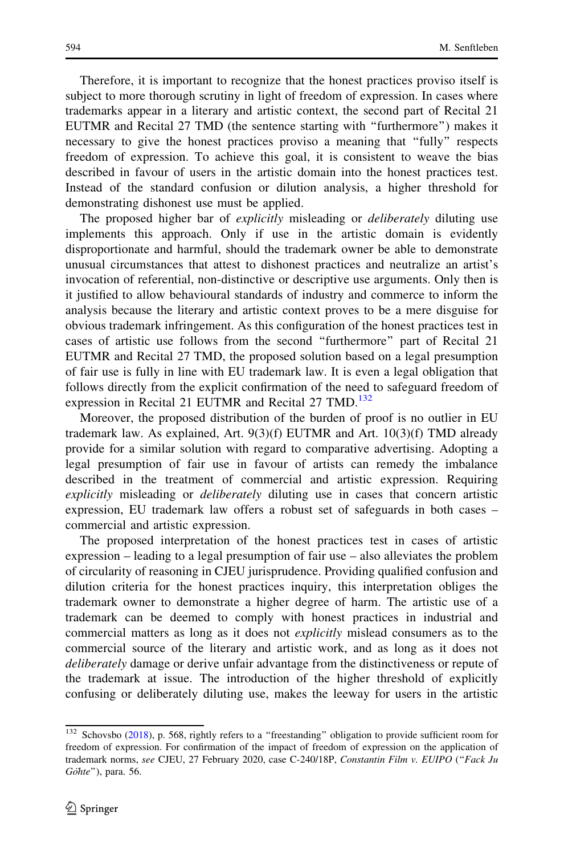Therefore, it is important to recognize that the honest practices proviso itself is subject to more thorough scrutiny in light of freedom of expression. In cases where trademarks appear in a literary and artistic context, the second part of Recital 21 EUTMR and Recital 27 TMD (the sentence starting with ''furthermore'') makes it necessary to give the honest practices proviso a meaning that ''fully'' respects freedom of expression. To achieve this goal, it is consistent to weave the bias described in favour of users in the artistic domain into the honest practices test. Instead of the standard confusion or dilution analysis, a higher threshold for demonstrating dishonest use must be applied.

The proposed higher bar of *explicitly* misleading or *deliberately* diluting use implements this approach. Only if use in the artistic domain is evidently disproportionate and harmful, should the trademark owner be able to demonstrate unusual circumstances that attest to dishonest practices and neutralize an artist's invocation of referential, non-distinctive or descriptive use arguments. Only then is it justified to allow behavioural standards of industry and commerce to inform the analysis because the literary and artistic context proves to be a mere disguise for obvious trademark infringement. As this configuration of the honest practices test in cases of artistic use follows from the second ''furthermore'' part of Recital 21 EUTMR and Recital 27 TMD, the proposed solution based on a legal presumption of fair use is fully in line with EU trademark law. It is even a legal obligation that follows directly from the explicit confirmation of the need to safeguard freedom of expression in Recital 21 EUTMR and Recital 27 TMD.<sup>132</sup>

Moreover, the proposed distribution of the burden of proof is no outlier in EU trademark law. As explained, Art. 9(3)(f) EUTMR and Art. 10(3)(f) TMD already provide for a similar solution with regard to comparative advertising. Adopting a legal presumption of fair use in favour of artists can remedy the imbalance described in the treatment of commercial and artistic expression. Requiring explicitly misleading or *deliberately* diluting use in cases that concern artistic expression, EU trademark law offers a robust set of safeguards in both cases – commercial and artistic expression.

The proposed interpretation of the honest practices test in cases of artistic expression – leading to a legal presumption of fair use – also alleviates the problem of circularity of reasoning in CJEU jurisprudence. Providing qualified confusion and dilution criteria for the honest practices inquiry, this interpretation obliges the trademark owner to demonstrate a higher degree of harm. The artistic use of a trademark can be deemed to comply with honest practices in industrial and commercial matters as long as it does not explicitly mislead consumers as to the commercial source of the literary and artistic work, and as long as it does not deliberately damage or derive unfair advantage from the distinctiveness or repute of the trademark at issue. The introduction of the higher threshold of explicitly confusing or deliberately diluting use, makes the leeway for users in the artistic

<sup>&</sup>lt;sup>132</sup> Schovsbo ([2018\)](#page-37-0), p. 568, rightly refers to a "freestanding" obligation to provide sufficient room for freedom of expression. For confirmation of the impact of freedom of expression on the application of trademark norms, see CJEU, 27 February 2020, case C-240/18P, Constantin Film v. EUIPO ("Fack Ju  $G\ddot{o}hte$ "), para. 56.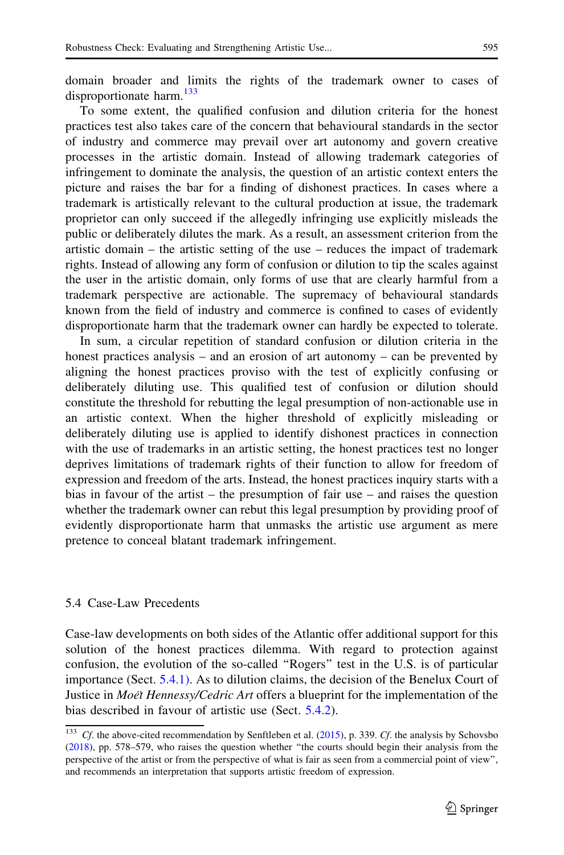<span id="page-29-0"></span>domain broader and limits the rights of the trademark owner to cases of disproportionate harm.<sup>133</sup>

To some extent, the qualified confusion and dilution criteria for the honest practices test also takes care of the concern that behavioural standards in the sector of industry and commerce may prevail over art autonomy and govern creative processes in the artistic domain. Instead of allowing trademark categories of infringement to dominate the analysis, the question of an artistic context enters the picture and raises the bar for a finding of dishonest practices. In cases where a trademark is artistically relevant to the cultural production at issue, the trademark proprietor can only succeed if the allegedly infringing use explicitly misleads the public or deliberately dilutes the mark. As a result, an assessment criterion from the artistic domain – the artistic setting of the use – reduces the impact of trademark rights. Instead of allowing any form of confusion or dilution to tip the scales against the user in the artistic domain, only forms of use that are clearly harmful from a trademark perspective are actionable. The supremacy of behavioural standards known from the field of industry and commerce is confined to cases of evidently disproportionate harm that the trademark owner can hardly be expected to tolerate.

In sum, a circular repetition of standard confusion or dilution criteria in the honest practices analysis – and an erosion of art autonomy – can be prevented by aligning the honest practices proviso with the test of explicitly confusing or deliberately diluting use. This qualified test of confusion or dilution should constitute the threshold for rebutting the legal presumption of non-actionable use in an artistic context. When the higher threshold of explicitly misleading or deliberately diluting use is applied to identify dishonest practices in connection with the use of trademarks in an artistic setting, the honest practices test no longer deprives limitations of trademark rights of their function to allow for freedom of expression and freedom of the arts. Instead, the honest practices inquiry starts with a bias in favour of the artist – the presumption of fair use – and raises the question whether the trademark owner can rebut this legal presumption by providing proof of evidently disproportionate harm that unmasks the artistic use argument as mere pretence to conceal blatant trademark infringement.

#### 5.4 Case-Law Precedents

Case-law developments on both sides of the Atlantic offer additional support for this solution of the honest practices dilemma. With regard to protection against confusion, the evolution of the so-called ''Rogers'' test in the U.S. is of particular importance (Sect. [5.4.1\).](#page-30-0) As to dilution claims, the decision of the Benelux Court of Justice in *Moet Hennessy/Cedric Art* offers a blueprint for the implementation of the bias described in favour of artistic use (Sect. [5.4.2](#page-32-0)).

 $C_f$ . the above-cited recommendation by Senftleben et al. [\(2015](#page-37-0)), p. 339.  $C_f$ . the analysis by Schovsbo ([2018\)](#page-37-0), pp. 578–579, who raises the question whether ''the courts should begin their analysis from the perspective of the artist or from the perspective of what is fair as seen from a commercial point of view'', and recommends an interpretation that supports artistic freedom of expression.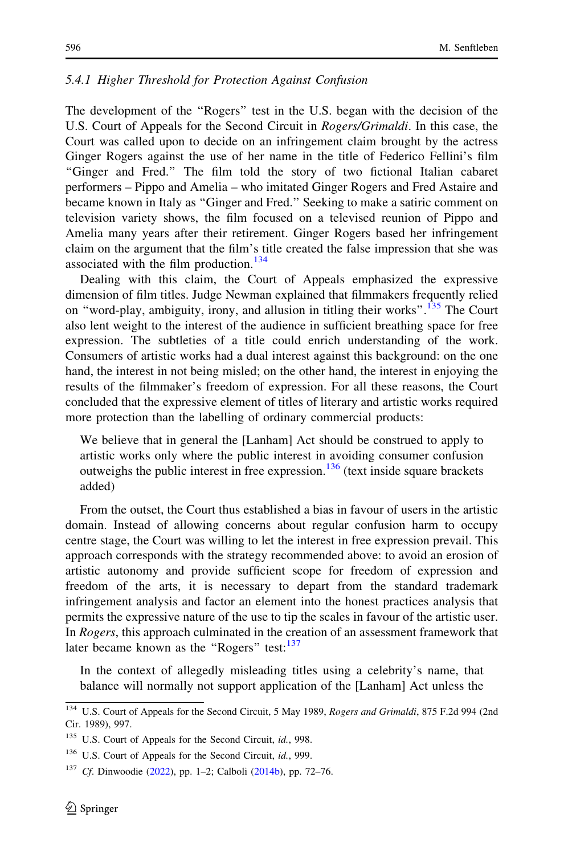#### <span id="page-30-0"></span>5.4.1 Higher Threshold for Protection Against Confusion

The development of the ''Rogers'' test in the U.S. began with the decision of the U.S. Court of Appeals for the Second Circuit in Rogers/Grimaldi. In this case, the Court was called upon to decide on an infringement claim brought by the actress Ginger Rogers against the use of her name in the title of Federico Fellini's film ''Ginger and Fred.'' The film told the story of two fictional Italian cabaret performers – Pippo and Amelia – who imitated Ginger Rogers and Fred Astaire and became known in Italy as ''Ginger and Fred.'' Seeking to make a satiric comment on television variety shows, the film focused on a televised reunion of Pippo and Amelia many years after their retirement. Ginger Rogers based her infringement claim on the argument that the film's title created the false impression that she was associated with the film production.<sup>134</sup>

Dealing with this claim, the Court of Appeals emphasized the expressive dimension of film titles. Judge Newman explained that filmmakers frequently relied on "word-play, ambiguity, irony, and allusion in titling their works".<sup>135</sup> The Court also lent weight to the interest of the audience in sufficient breathing space for free expression. The subtleties of a title could enrich understanding of the work. Consumers of artistic works had a dual interest against this background: on the one hand, the interest in not being misled; on the other hand, the interest in enjoying the results of the filmmaker's freedom of expression. For all these reasons, the Court concluded that the expressive element of titles of literary and artistic works required more protection than the labelling of ordinary commercial products:

We believe that in general the [Lanham] Act should be construed to apply to artistic works only where the public interest in avoiding consumer confusion outweighs the public interest in free expression.<sup>136</sup> (text inside square brackets added)

From the outset, the Court thus established a bias in favour of users in the artistic domain. Instead of allowing concerns about regular confusion harm to occupy centre stage, the Court was willing to let the interest in free expression prevail. This approach corresponds with the strategy recommended above: to avoid an erosion of artistic autonomy and provide sufficient scope for freedom of expression and freedom of the arts, it is necessary to depart from the standard trademark infringement analysis and factor an element into the honest practices analysis that permits the expressive nature of the use to tip the scales in favour of the artistic user. In Rogers, this approach culminated in the creation of an assessment framework that later became known as the "Rogers" test: $137$ 

In the context of allegedly misleading titles using a celebrity's name, that balance will normally not support application of the [Lanham] Act unless the

<sup>&</sup>lt;sup>134</sup> U.S. Court of Appeals for the Second Circuit, 5 May 1989, Rogers and Grimaldi, 875 F.2d 994 (2nd Cir. 1989), 997.

<sup>&</sup>lt;sup>135</sup> U.S. Court of Appeals for the Second Circuit, id., 998.

<sup>&</sup>lt;sup>136</sup> U.S. Court of Appeals for the Second Circuit, id., 999.

<sup>&</sup>lt;sup>137</sup> Cf. Dinwoodie ([2022\)](#page-35-0), pp. 1–2; Calboli [\(2014b](#page-35-0)), pp. 72–76.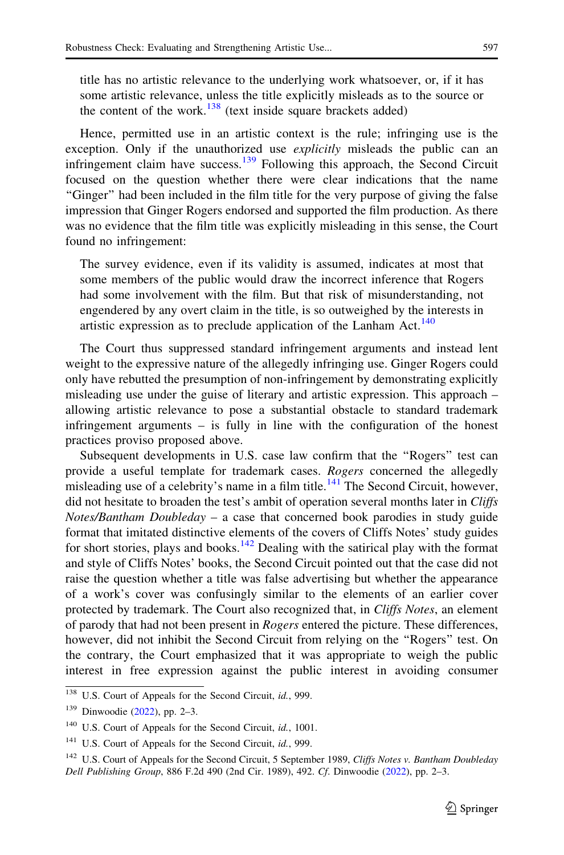title has no artistic relevance to the underlying work whatsoever, or, if it has some artistic relevance, unless the title explicitly misleads as to the source or the content of the work. $138$  (text inside square brackets added)

Hence, permitted use in an artistic context is the rule; infringing use is the exception. Only if the unauthorized use *explicitly* misleads the public can an infringement claim have success.<sup>139</sup> Following this approach, the Second Circuit focused on the question whether there were clear indications that the name ''Ginger'' had been included in the film title for the very purpose of giving the false impression that Ginger Rogers endorsed and supported the film production. As there was no evidence that the film title was explicitly misleading in this sense, the Court found no infringement:

The survey evidence, even if its validity is assumed, indicates at most that some members of the public would draw the incorrect inference that Rogers had some involvement with the film. But that risk of misunderstanding, not engendered by any overt claim in the title, is so outweighed by the interests in artistic expression as to preclude application of the Lanham Act.<sup>140</sup>

The Court thus suppressed standard infringement arguments and instead lent weight to the expressive nature of the allegedly infringing use. Ginger Rogers could only have rebutted the presumption of non-infringement by demonstrating explicitly misleading use under the guise of literary and artistic expression. This approach – allowing artistic relevance to pose a substantial obstacle to standard trademark infringement arguments – is fully in line with the configuration of the honest practices proviso proposed above.

Subsequent developments in U.S. case law confirm that the ''Rogers'' test can provide a useful template for trademark cases. Rogers concerned the allegedly misleading use of a celebrity's name in a film title.<sup>141</sup> The Second Circuit, however, did not hesitate to broaden the test's ambit of operation several months later in Cliffs Notes/Bantham Doubleday – a case that concerned book parodies in study guide format that imitated distinctive elements of the covers of Cliffs Notes' study guides for short stories, plays and books.<sup>142</sup> Dealing with the satirical play with the format and style of Cliffs Notes' books, the Second Circuit pointed out that the case did not raise the question whether a title was false advertising but whether the appearance of a work's cover was confusingly similar to the elements of an earlier cover protected by trademark. The Court also recognized that, in Cliffs Notes, an element of parody that had not been present in *Rogers* entered the picture. These differences, however, did not inhibit the Second Circuit from relying on the ''Rogers'' test. On the contrary, the Court emphasized that it was appropriate to weigh the public interest in free expression against the public interest in avoiding consumer

<sup>&</sup>lt;sup>138</sup> U.S. Court of Appeals for the Second Circuit, id., 999.

<sup>139</sup> Dinwoodie ([2022](#page-35-0)), pp. 2–3.

<sup>&</sup>lt;sup>140</sup> U.S. Court of Appeals for the Second Circuit, id., 1001.

<sup>&</sup>lt;sup>141</sup> U.S. Court of Appeals for the Second Circuit, id., 999.

<sup>&</sup>lt;sup>142</sup> U.S. Court of Appeals for the Second Circuit, 5 September 1989, Cliffs Notes v. Bantham Doubleday Dell Publishing Group, 886 F.2d 490 (2nd Cir. 1989), 492. Cf. Dinwoodie ([2022\)](#page-35-0), pp. 2–3.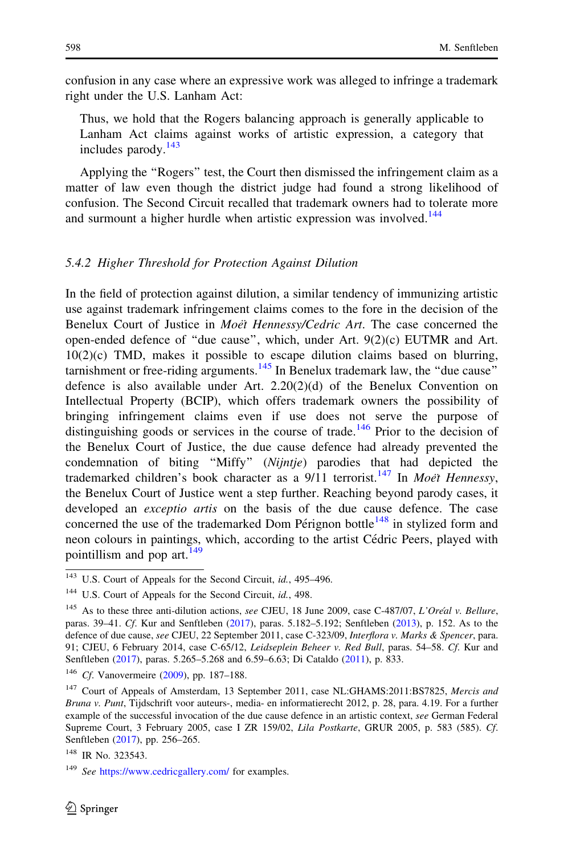<span id="page-32-0"></span>confusion in any case where an expressive work was alleged to infringe a trademark right under the U.S. Lanham Act:

Thus, we hold that the Rogers balancing approach is generally applicable to Lanham Act claims against works of artistic expression, a category that includes parody. $143$ 

Applying the ''Rogers'' test, the Court then dismissed the infringement claim as a matter of law even though the district judge had found a strong likelihood of confusion. The Second Circuit recalled that trademark owners had to tolerate more and surmount a higher hurdle when artistic expression was involved.<sup>144</sup>

#### 5.4.2 Higher Threshold for Protection Against Dilution

In the field of protection against dilution, a similar tendency of immunizing artistic use against trademark infringement claims comes to the fore in the decision of the Benelux Court of Justice in *Moet Hennessy/Cedric Art*. The case concerned the open-ended defence of ''due cause'', which, under Art. 9(2)(c) EUTMR and Art. 10(2)(c) TMD, makes it possible to escape dilution claims based on blurring, tarnishment or free-riding arguments.<sup>145</sup> In Benelux trademark law, the "due cause" defence is also available under Art.  $2.20(2)(d)$  of the Benelux Convention on Intellectual Property (BCIP), which offers trademark owners the possibility of bringing infringement claims even if use does not serve the purpose of distinguishing goods or services in the course of trade.<sup>146</sup> Prior to the decision of the Benelux Court of Justice, the due cause defence had already prevented the condemnation of biting ''Miffy'' (Nijntje) parodies that had depicted the trademarked children's book character as a  $9/11$  terrorist.<sup>147</sup> In *Moet Hennessy*, the Benelux Court of Justice went a step further. Reaching beyond parody cases, it developed an *exceptio artis* on the basis of the due cause defence. The case concerned the use of the trademarked Dom Pérignon bottle $148$  in stylized form and neon colours in paintings, which, according to the artist Cédric Peers, played with pointillism and pop art. $^{149}$ 

<sup>&</sup>lt;sup>143</sup> U.S. Court of Appeals for the Second Circuit, id., 495-496.

<sup>&</sup>lt;sup>144</sup> U.S. Court of Appeals for the Second Circuit, *id.*, 498.

<sup>&</sup>lt;sup>145</sup> As to these three anti-dilution actions, see CJEU, 18 June 2009, case C-487/07, L'Oréal v. Bellure, paras. 39–41. Cf. Kur and Senftleben [\(2017](#page-36-0)), paras. 5.182–5.192; Senftleben ([2013\)](#page-37-0), p. 152. As to the defence of due cause, see CJEU, 22 September 2011, case C-323/09, Interflora v. Marks & Spencer, para. 91; CJEU, 6 February 2014, case C-65/12, Leidseplein Beheer v. Red Bull, paras. 54–58. Cf. Kur and Senftleben [\(2017](#page-36-0)), paras. 5.265–5.268 and 6.59–6.63; Di Cataldo [\(2011\)](#page-35-0), p. 833.

<sup>&</sup>lt;sup>146</sup> Cf. Vanovermeire [\(2009\)](#page-37-0), pp. 187-188.

<sup>&</sup>lt;sup>147</sup> Court of Appeals of Amsterdam, 13 September 2011, case NL:GHAMS:2011:BS7825, Mercis and Bruna v. Punt, Tijdschrift voor auteurs-, media- en informatierecht 2012, p. 28, para. 4.19. For a further example of the successful invocation of the due cause defence in an artistic context, see German Federal Supreme Court, 3 February 2005, case I ZR 159/02, Lila Postkarte, GRUR 2005, p. 583 (585). Cf. Senftleben [\(2017](#page-37-0)), pp. 256–265.

<sup>&</sup>lt;sup>148</sup> IR No. 323543.

<sup>&</sup>lt;sup>149</sup> See <https://www.cedricgallery.com/> for examples.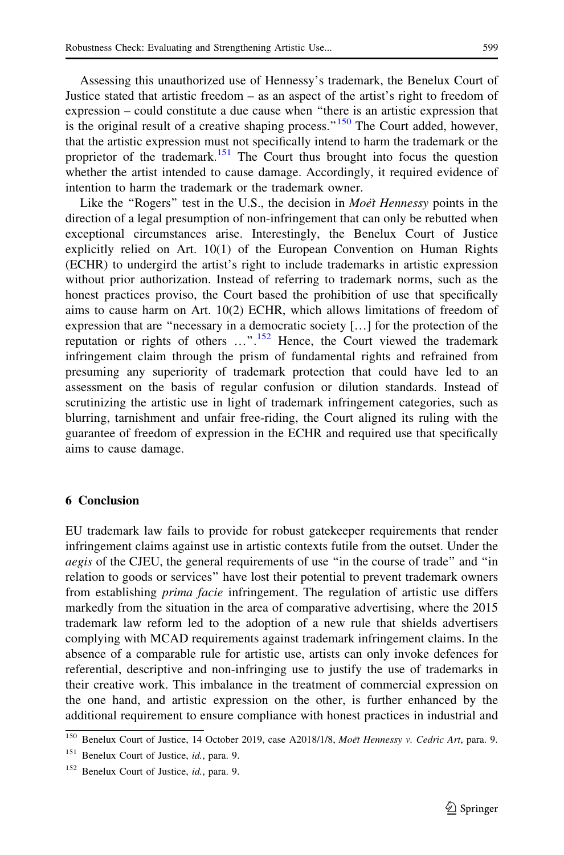<span id="page-33-0"></span>Assessing this unauthorized use of Hennessy's trademark, the Benelux Court of Justice stated that artistic freedom – as an aspect of the artist's right to freedom of expression – could constitute a due cause when ''there is an artistic expression that is the original result of a creative shaping process." $150$  The Court added, however, that the artistic expression must not specifically intend to harm the trademark or the proprietor of the trademark.<sup>151</sup> The Court thus brought into focus the question whether the artist intended to cause damage. Accordingly, it required evidence of intention to harm the trademark or the trademark owner.

Like the "Rogers" test in the U.S., the decision in  $Moe$ <sup>†</sup> Hennessy points in the direction of a legal presumption of non-infringement that can only be rebutted when exceptional circumstances arise. Interestingly, the Benelux Court of Justice explicitly relied on Art. 10(1) of the European Convention on Human Rights (ECHR) to undergird the artist's right to include trademarks in artistic expression without prior authorization. Instead of referring to trademark norms, such as the honest practices proviso, the Court based the prohibition of use that specifically aims to cause harm on Art. 10(2) ECHR, which allows limitations of freedom of expression that are ''necessary in a democratic society […] for the protection of the reputation or rights of others  $\dots$ <sup>".152</sup> Hence, the Court viewed the trademark infringement claim through the prism of fundamental rights and refrained from presuming any superiority of trademark protection that could have led to an assessment on the basis of regular confusion or dilution standards. Instead of scrutinizing the artistic use in light of trademark infringement categories, such as blurring, tarnishment and unfair free-riding, the Court aligned its ruling with the guarantee of freedom of expression in the ECHR and required use that specifically aims to cause damage.

#### 6 Conclusion

EU trademark law fails to provide for robust gatekeeper requirements that render infringement claims against use in artistic contexts futile from the outset. Under the aegis of the CJEU, the general requirements of use ''in the course of trade'' and ''in relation to goods or services'' have lost their potential to prevent trademark owners from establishing *prima facie* infringement. The regulation of artistic use differs markedly from the situation in the area of comparative advertising, where the 2015 trademark law reform led to the adoption of a new rule that shields advertisers complying with MCAD requirements against trademark infringement claims. In the absence of a comparable rule for artistic use, artists can only invoke defences for referential, descriptive and non-infringing use to justify the use of trademarks in their creative work. This imbalance in the treatment of commercial expression on the one hand, and artistic expression on the other, is further enhanced by the additional requirement to ensure compliance with honest practices in industrial and

<sup>&</sup>lt;sup>150</sup> Benelux Court of Justice, 14 October 2019, case A2018/1/8, Moët Hennessy v. Cedric Art, para. 9.

<sup>&</sup>lt;sup>151</sup> Benelux Court of Justice, id., para. 9.

<sup>&</sup>lt;sup>152</sup> Benelux Court of Justice, id., para. 9.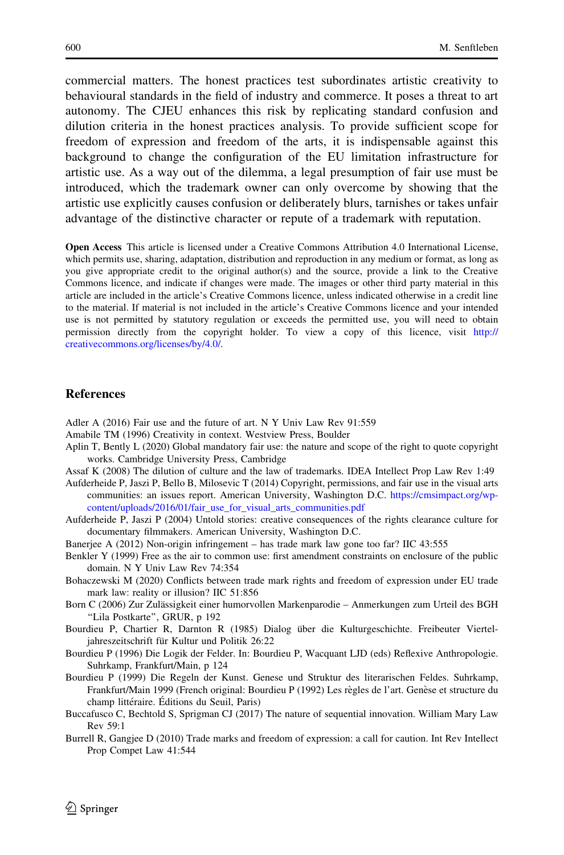<span id="page-34-0"></span>commercial matters. The honest practices test subordinates artistic creativity to behavioural standards in the field of industry and commerce. It poses a threat to art autonomy. The CJEU enhances this risk by replicating standard confusion and dilution criteria in the honest practices analysis. To provide sufficient scope for freedom of expression and freedom of the arts, it is indispensable against this background to change the configuration of the EU limitation infrastructure for artistic use. As a way out of the dilemma, a legal presumption of fair use must be introduced, which the trademark owner can only overcome by showing that the artistic use explicitly causes confusion or deliberately blurs, tarnishes or takes unfair advantage of the distinctive character or repute of a trademark with reputation.

Open Access This article is licensed under a Creative Commons Attribution 4.0 International License, which permits use, sharing, adaptation, distribution and reproduction in any medium or format, as long as you give appropriate credit to the original author(s) and the source, provide a link to the Creative Commons licence, and indicate if changes were made. The images or other third party material in this article are included in the article's Creative Commons licence, unless indicated otherwise in a credit line to the material. If material is not included in the article's Creative Commons licence and your intended use is not permitted by statutory regulation or exceeds the permitted use, you will need to obtain permission directly from the copyright holder. To view a copy of this licence, visit [http://](http://creativecommons.org/licenses/by/4.0/) [creativecommons.org/licenses/by/4.0/.](http://creativecommons.org/licenses/by/4.0/)

#### **References**

Adler A (2016) Fair use and the future of art. N Y Univ Law Rev 91:559

- Amabile TM (1996) Creativity in context. Westview Press, Boulder
- Aplin T, Bently L (2020) Global mandatory fair use: the nature and scope of the right to quote copyright works. Cambridge University Press, Cambridge
- Assaf K (2008) The dilution of culture and the law of trademarks. IDEA Intellect Prop Law Rev 1:49
- Aufderheide P, Jaszi P, Bello B, Milosevic T (2014) Copyright, permissions, and fair use in the visual arts communities: an issues report. American University, Washington D.C. [https://cmsimpact.org/wp](https://cmsimpact.org/wp-content/uploads/2016/01/fair_use_for_visual_arts_communities.pdf)[content/uploads/2016/01/fair\\_use\\_for\\_visual\\_arts\\_communities.pdf](https://cmsimpact.org/wp-content/uploads/2016/01/fair_use_for_visual_arts_communities.pdf)
- Aufderheide P, Jaszi P (2004) Untold stories: creative consequences of the rights clearance culture for documentary filmmakers. American University, Washington D.C.
- Banerjee A (2012) Non-origin infringement has trade mark law gone too far? IIC 43:555
- Benkler Y (1999) Free as the air to common use: first amendment constraints on enclosure of the public domain. N Y Univ Law Rev 74:354
- Bohaczewski M (2020) Conflicts between trade mark rights and freedom of expression under EU trade mark law: reality or illusion? IIC 51:856
- Born C (2006) Zur Zulässigkeit einer humorvollen Markenparodie Anmerkungen zum Urteil des BGH ''Lila Postkarte'', GRUR, p 192
- Bourdieu P, Chartier R, Darnton R (1985) Dialog über die Kulturgeschichte. Freibeuter Vierteljahreszeitschrift für Kultur und Politik 26:22
- Bourdieu P (1996) Die Logik der Felder. In: Bourdieu P, Wacquant LJD (eds) Reflexive Anthropologie. Suhrkamp, Frankfurt/Main, p 124
- Bourdieu P (1999) Die Regeln der Kunst. Genese und Struktur des literarischen Feldes. Suhrkamp, Frankfurt/Main 1999 (French original: Bourdieu P (1992) Les règles de l'art. Genèse et structure du champ littéraire. Éditions du Seuil, Paris)
- Buccafusco C, Bechtold S, Sprigman CJ (2017) The nature of sequential innovation. William Mary Law Rev 59:1
- Burrell R, Gangjee D (2010) Trade marks and freedom of expression: a call for caution. Int Rev Intellect Prop Compet Law 41:544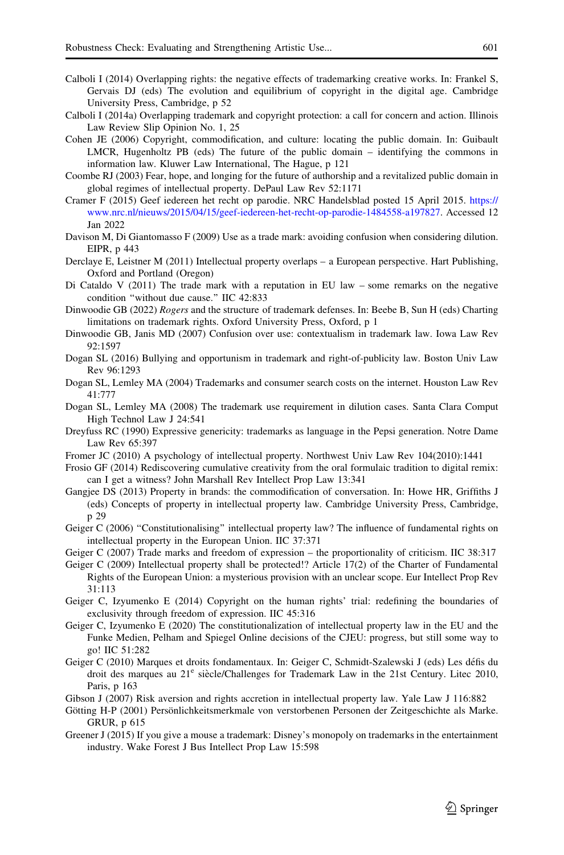- <span id="page-35-0"></span>Calboli I (2014) Overlapping rights: the negative effects of trademarking creative works. In: Frankel S, Gervais DJ (eds) The evolution and equilibrium of copyright in the digital age. Cambridge University Press, Cambridge, p 52
- Calboli I (2014a) Overlapping trademark and copyright protection: a call for concern and action. Illinois Law Review Slip Opinion No. 1, 25
- Cohen JE (2006) Copyright, commodification, and culture: locating the public domain. In: Guibault LMCR, Hugenholtz PB (eds) The future of the public domain – identifying the commons in information law. Kluwer Law International, The Hague, p 121
- Coombe RJ (2003) Fear, hope, and longing for the future of authorship and a revitalized public domain in global regimes of intellectual property. DePaul Law Rev 52:1171
- Cramer F (2015) Geef iedereen het recht op parodie. NRC Handelsblad posted 15 April 2015. [https://](https://www.nrc.nl/nieuws/2015/04/15/geef-iedereen-het-recht-op-parodie-1484558-a197827) [www.nrc.nl/nieuws/2015/04/15/geef-iedereen-het-recht-op-parodie-1484558-a197827](https://www.nrc.nl/nieuws/2015/04/15/geef-iedereen-het-recht-op-parodie-1484558-a197827). Accessed 12 Jan 2022
- Davison M, Di Giantomasso F (2009) Use as a trade mark: avoiding confusion when considering dilution. EIPR, p 443
- Derclaye E, Leistner M (2011) Intellectual property overlaps a European perspective. Hart Publishing, Oxford and Portland (Oregon)
- Di Cataldo V (2011) The trade mark with a reputation in EU law some remarks on the negative condition ''without due cause.'' IIC 42:833
- Dinwoodie GB (2022) Rogers and the structure of trademark defenses. In: Beebe B, Sun H (eds) Charting limitations on trademark rights. Oxford University Press, Oxford, p 1
- Dinwoodie GB, Janis MD (2007) Confusion over use: contextualism in trademark law. Iowa Law Rev 92:1597
- Dogan SL (2016) Bullying and opportunism in trademark and right-of-publicity law. Boston Univ Law Rev 96:1293
- Dogan SL, Lemley MA (2004) Trademarks and consumer search costs on the internet. Houston Law Rev 41:777
- Dogan SL, Lemley MA (2008) The trademark use requirement in dilution cases. Santa Clara Comput High Technol Law J 24:541
- Dreyfuss RC (1990) Expressive genericity: trademarks as language in the Pepsi generation. Notre Dame Law Rev 65:397
- Fromer JC (2010) A psychology of intellectual property. Northwest Univ Law Rev 104(2010):1441
- Frosio GF (2014) Rediscovering cumulative creativity from the oral formulaic tradition to digital remix: can I get a witness? John Marshall Rev Intellect Prop Law 13:341
- Gangjee DS (2013) Property in brands: the commodification of conversation. In: Howe HR, Griffiths J (eds) Concepts of property in intellectual property law. Cambridge University Press, Cambridge, p 29
- Geiger C (2006) "Constitutionalising" intellectual property law? The influence of fundamental rights on intellectual property in the European Union. IIC 37:371
- Geiger C (2007) Trade marks and freedom of expression the proportionality of criticism. IIC 38:317
- Geiger C (2009) Intellectual property shall be protected!? Article 17(2) of the Charter of Fundamental Rights of the European Union: a mysterious provision with an unclear scope. Eur Intellect Prop Rev 31:113
- Geiger C, Izyumenko E (2014) Copyright on the human rights' trial: redefining the boundaries of exclusivity through freedom of expression. IIC 45:316
- Geiger C, Izyumenko E (2020) The constitutionalization of intellectual property law in the EU and the Funke Medien, Pelham and Spiegel Online decisions of the CJEU: progress, but still some way to go! IIC 51:282
- Geiger C (2010) Marques et droits fondamentaux. In: Geiger C, Schmidt-Szalewski J (eds) Les de´fis du droit des marques au 21<sup>e</sup> siècle/Challenges for Trademark Law in the 21st Century. Litec 2010, Paris, p 163
- Gibson J (2007) Risk aversion and rights accretion in intellectual property law. Yale Law J 116:882
- Götting H-P (2001) Persönlichkeitsmerkmale von verstorbenen Personen der Zeitgeschichte als Marke. GRUR, p 615
- Greener J (2015) If you give a mouse a trademark: Disney's monopoly on trademarks in the entertainment industry. Wake Forest J Bus Intellect Prop Law 15:598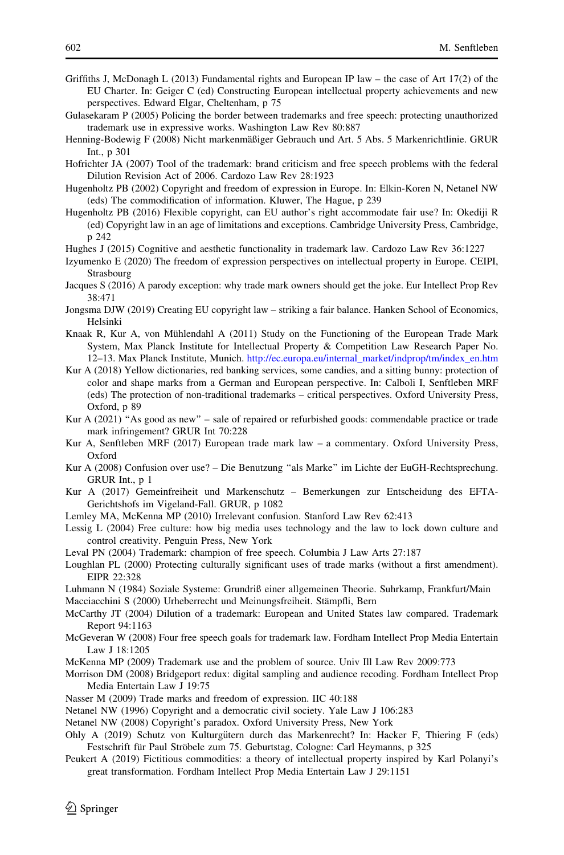- <span id="page-36-0"></span>Griffiths J, McDonagh L (2013) Fundamental rights and European IP law – the case of Art 17(2) of the EU Charter. In: Geiger C (ed) Constructing European intellectual property achievements and new perspectives. Edward Elgar, Cheltenham, p 75
- Gulasekaram P (2005) Policing the border between trademarks and free speech: protecting unauthorized trademark use in expressive works. Washington Law Rev 80:887
- Henning-Bodewig F (2008) Nicht markenmäßiger Gebrauch und Art. 5 Abs. 5 Markenrichtlinie. GRUR Int., p 301
- Hofrichter JA (2007) Tool of the trademark: brand criticism and free speech problems with the federal Dilution Revision Act of 2006. Cardozo Law Rev 28:1923
- Hugenholtz PB (2002) Copyright and freedom of expression in Europe. In: Elkin-Koren N, Netanel NW (eds) The commodification of information. Kluwer, The Hague, p 239
- Hugenholtz PB (2016) Flexible copyright, can EU author's right accommodate fair use? In: Okediji R (ed) Copyright law in an age of limitations and exceptions. Cambridge University Press, Cambridge, p 242
- Hughes J (2015) Cognitive and aesthetic functionality in trademark law. Cardozo Law Rev 36:1227
- Izyumenko E (2020) The freedom of expression perspectives on intellectual property in Europe. CEIPI, Strasbourg
- Jacques S (2016) A parody exception: why trade mark owners should get the joke. Eur Intellect Prop Rev 38:471
- Jongsma DJW (2019) Creating EU copyright law striking a fair balance. Hanken School of Economics, Helsinki
- Knaak R, Kur A, von Mühlendahl A (2011) Study on the Functioning of the European Trade Mark System, Max Planck Institute for Intellectual Property & Competition Law Research Paper No. 12–13. Max Planck Institute, Munich. [http://ec.europa.eu/internal\\_market/indprop/tm/index\\_en.htm](http://ec.europa.eu/internal_market/indprop/tm/index_en.htm)
- Kur A (2018) Yellow dictionaries, red banking services, some candies, and a sitting bunny: protection of color and shape marks from a German and European perspective. In: Calboli I, Senftleben MRF (eds) The protection of non-traditional trademarks – critical perspectives. Oxford University Press, Oxford, p 89
- Kur A (2021) "As good as new" sale of repaired or refurbished goods: commendable practice or trade mark infringement? GRUR Int 70:228
- Kur A, Senftleben MRF (2017) European trade mark law a commentary. Oxford University Press, Oxford
- Kur A (2008) Confusion over use? Die Benutzung ''als Marke'' im Lichte der EuGH-Rechtsprechung. GRUR Int., p 1
- Kur A (2017) Gemeinfreiheit und Markenschutz Bemerkungen zur Entscheidung des EFTA-Gerichtshofs im Vigeland-Fall. GRUR, p 1082
- Lemley MA, McKenna MP (2010) Irrelevant confusion. Stanford Law Rev 62:413
- Lessig L (2004) Free culture: how big media uses technology and the law to lock down culture and control creativity. Penguin Press, New York
- Leval PN (2004) Trademark: champion of free speech. Columbia J Law Arts 27:187
- Loughlan PL (2000) Protecting culturally significant uses of trade marks (without a first amendment). EIPR 22:328
- Luhmann N (1984) Soziale Systeme: Grundriß einer allgemeinen Theorie. Suhrkamp, Frankfurt/Main Macciacchini S (2000) Urheberrecht und Meinungsfreiheit. Stämpfli, Bern
- McCarthy JT (2004) Dilution of a trademark: European and United States law compared. Trademark Report 94:1163
- McGeveran W (2008) Four free speech goals for trademark law. Fordham Intellect Prop Media Entertain Law J 18:1205
- McKenna MP (2009) Trademark use and the problem of source. Univ Ill Law Rev 2009:773
- Morrison DM (2008) Bridgeport redux: digital sampling and audience recoding. Fordham Intellect Prop Media Entertain Law J 19:75
- Nasser M (2009) Trade marks and freedom of expression. IIC 40:188
- Netanel NW (1996) Copyright and a democratic civil society. Yale Law J 106:283
- Netanel NW (2008) Copyright's paradox. Oxford University Press, New York
- Ohly A (2019) Schutz von Kulturgütern durch das Markenrecht? In: Hacker F, Thiering F (eds) Festschrift für Paul Ströbele zum 75. Geburtstag, Cologne: Carl Heymanns, p 325
- Peukert A (2019) Fictitious commodities: a theory of intellectual property inspired by Karl Polanyi's great transformation. Fordham Intellect Prop Media Entertain Law J 29:1151